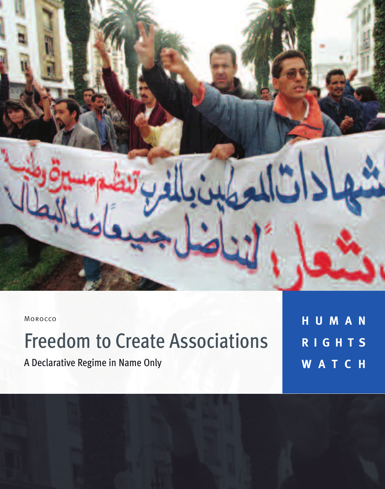

Morocco

# Freedom to Create Associations

A Declarative Regime in Name Only

**H U M A N R I G H T S W A T C H**

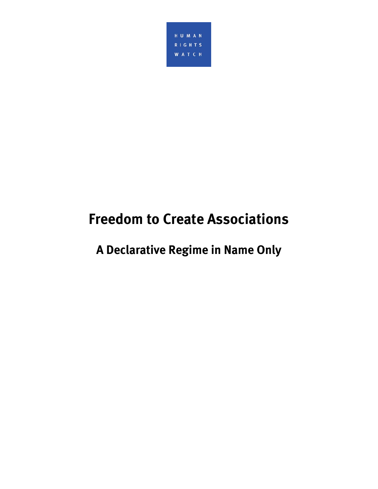

## **Freedom to Create Associations**

**A Declarative Regime in Name Only**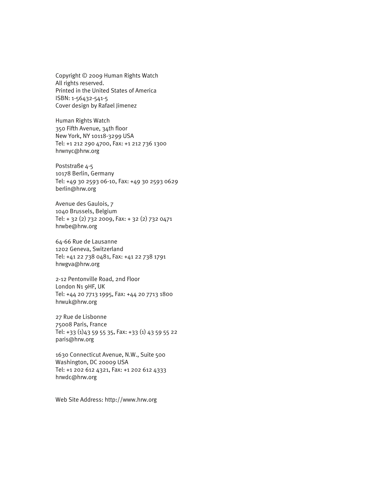Copyright © 2009 Human Rights Watch All rights reserved. Printed in the United States of America ISBN: 1-56432-541-5 Cover design by Rafael Jimenez

Human Rights Watch 350 Fifth Avenue, 34th floor New York, NY 10118-3299 USA Tel: +1 212 290 4700, Fax: +1 212 736 1300 hrwnyc@hrw.org

Poststraße 4-5 10178 Berlin, Germany Tel: +49 30 2593 06-10, Fax: +49 30 2593 0629 berlin@hrw.org

Avenue des Gaulois, 7 1040 Brussels, Belgium Tel: + 32 (2) 732 2009, Fax: + 32 (2) 732 0471 hrwbe@hrw.org

64-66 Rue de Lausanne 1202 Geneva, Switzerland Tel: +41 22 738 0481, Fax: +41 22 738 1791 hrwgva@hrw.org

2-12 Pentonville Road, 2nd Floor London N1 9HF, UK Tel: +44 20 7713 1995, Fax: +44 20 7713 1800 hrwuk@hrw.org

27 Rue de Lisbonne 75008 Paris, France Tel: +33 (1)43 59 55 35, Fax: +33 (1) 43 59 55 22 paris@hrw.org

1630 Connecticut Avenue, N.W., Suite 500 Washington, DC 20009 USA Tel: +1 202 612 4321, Fax: +1 202 612 4333 hrwdc@hrw.org

Web Site Address: http://www.hrw.org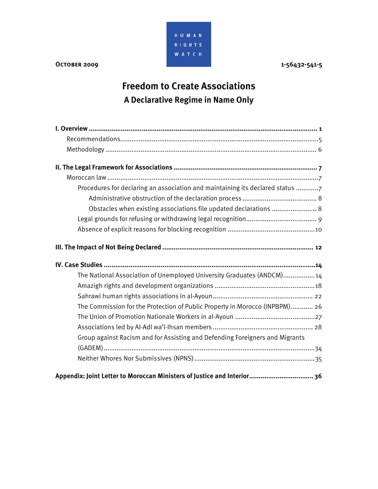

## **Freedom to Create Associations A Declarative Regime in Name Only**

| Procedures for declaring an association and maintaining its declared status 7 |
|-------------------------------------------------------------------------------|
|                                                                               |
| Obstacles when existing associations file updated declarations  8             |
|                                                                               |
|                                                                               |
|                                                                               |
|                                                                               |
|                                                                               |
| The National Association of Unemployed University Graduates (ANDCM) 14        |
|                                                                               |
|                                                                               |
| The Commission for the Protection of Public Property in Morocco (INPBPM) 26   |
|                                                                               |
|                                                                               |
| Group against Racism and for Assisting and Defending Foreigners and Migrants  |
|                                                                               |
|                                                                               |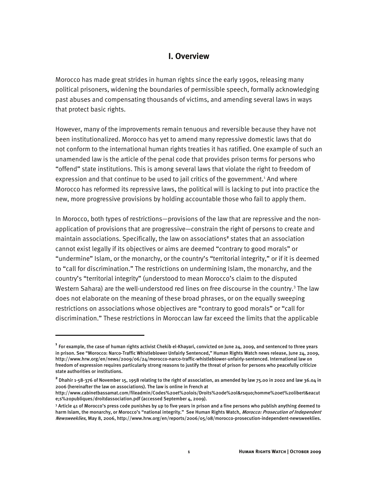### **I. Overview**

Morocco has made great strides in human rights since the early 1990s, releasing many political prisoners, widening the boundaries of permissible speech, formally acknowledging past abuses and compensating thousands of victims, and amending several laws in ways that protect basic rights.

However, many of the improvements remain tenuous and reversible because they have not been institutionalized. Morocco has yet to amend many repressive domestic laws that do not conform to the international human rights treaties it has ratified. One example of such an unamended law is the article of the penal code that provides prison terms for persons who "offend" state institutions. This is among several laws that violate the right to freedom of expression and that continue to be used to jail critics of the government.<sup>1</sup> And where Morocco has reformed its repressive laws, the political will is lacking to put into practice the new, more progressive provisions by holding accountable those who fail to apply them.

In Morocco, both types of restrictions—provisions of the law that are repressive and the nonapplication of provisions that are progressive—constrain the right of persons to create and maintain associations. Specifically, the law on associations<sup>2</sup> states that an association cannot exist legally if its objectives or aims are deemed "contrary to good morals" or "undermine" Islam, or the monarchy, or the country's "territorial integrity," or if it is deemed to "call for discrimination." The restrictions on undermining Islam, the monarchy, and the country's "territorial integrity" (understood to mean Morocco's claim to the disputed Western Sahara) are the well-understood red lines on free discourse in the country.<sup>3</sup> The law does not elaborate on the meaning of these broad phrases, or on the equally sweeping restrictions on associations whose objectives are "contrary to good morals" or "call for discrimination." These restrictions in Moroccan law far exceed the limits that the applicable

**<sup>1</sup>** For example, the case of human rights activist Chekib el-Khayari, convicted on June 24, 2009, and sentenced to three years in prison. See "Morocco: Narco-Traffic Whistleblower Unfairly Sentenced," Human Rights Watch news release, June 24, 2009, http://www.hrw.org/en/news/2009/06/24/morocco-narco-traffic-whistleblower-unfairly-sentenced. International law on freedom of expression requires particularly strong reasons to justify the threat of prison for persons who peacefully criticize state authorities or institutions.

**<sup>2</sup>** Dhahir 1-58-376 of November 15, 1958 relating to the right of association, as amended by law 75.00 in 2002 and law 36.04 in 2006 (hereinafter the law on associations). The law is online in French at

http://www.cabinetbassamat.com/fileadmin/Codes%20et%20lois/Droits%20de%20l'homme%20et%20libert&eacut e;s%20publiques/droitdassociation.pdf (accessed September 4, 2009).

<sup>&</sup>lt;sup>3</sup> Article 41 of Morocco's press code punishes by up to five years in prison and a fine persons who publish anything deemed to harm Islam, the monarchy, or Morocco's "national integrity." See Human Rights Watch, Morocco: Prosecution of Independent Newsweeklies, May 8, 2006, http://www.hrw.org/en/reports/2006/05/08/morocco-prosecution-independent-newsweeklies.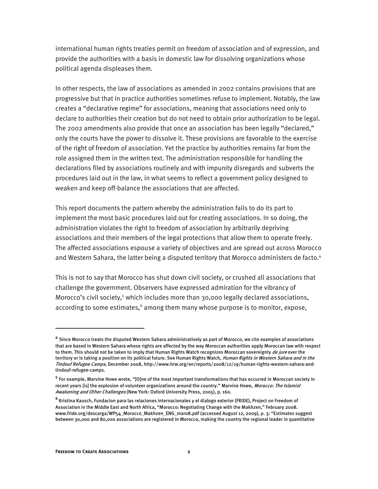international human rights treaties permit on freedom of association and of expression, and provide the authorities with a basis in domestic law for dissolving organizations whose political agenda displeases them.

In other respects, the law of associations as amended in 2002 contains provisions that are progressive but that in practice authorities sometimes refuse to implement. Notably, the law creates a "declarative regime" for associations, meaning that associations need only to declare to authorities their creation but do not need to obtain prior authorization to be legal. The 2002 amendments also provide that once an association has been legally "declared," only the courts have the power to dissolve it. These provisions are favorable to the exercise of the right of freedom of association. Yet the practice by authorities remains far from the role assigned them in the written text. The administration responsible for handling the declarations filed by associations routinely and with impunity disregards and subverts the procedures laid out in the law, in what seems to reflect a government policy designed to weaken and keep off-balance the associations that are affected.

This report documents the pattern whereby the administration fails to do its part to implement the most basic procedures laid out for creating associations. In so doing, the administration violates the right to freedom of association by arbitrarily depriving associations and their members of the legal protections that allow them to operate freely. The affected associations espouse a variety of objectives and are spread out across Morocco and Western Sahara, the latter being a disputed territory that Morocco administers de facto.<sup>4</sup>

This is not to say that Morocco has shut down civil society, or crushed all associations that challenge the government. Observers have expressed admiration for the vibrancy of Morocco's civil society,<sup>5</sup> which includes more than 30,000 legally declared associations, according to some estimates,<sup>6</sup> among them many whose purpose is to monitor, expose,

l

**<sup>4</sup>** Since Morocco treats the disputed Western Sahara administratively as part of Morocco, we cite examples of associations that are based in Western Sahara whose rights are affected by the way Moroccan authorities apply Moroccan law with respect to them. This should not be taken to imply that Human Rights Watch recognizes Moroccan sovereignty de jure over the territory or is taking a position on its political future. See Human Rights Watch, *Human Rights in Western Sahara and in the* Tindouf Refugee Camps, December 2008, http://www.hrw.org/en/reports/2008/12/19/human-rights-western-sahara-andtindouf-refugee-camps.

**<sup>5</sup>** For example, Marvine Howe wrote, "[O]ne of the most important transformations that has occurred in Moroccan society in recent years [is] the explosion of volunteer organizations around the country." Marvine Howe, Morocco: The Islamist Awakening and Other Challenges (New York: Oxford University Press, 2005), p. 160.

**<sup>6</sup>**Kristina Kausch, Fundacion para las relaciones internacionales y el dialogo exterior (FRIDE), Project on Freedom of Association in the Middle East and North Africa, "Morocco: Negotiating Change with the Makhzen," February 2008. www.fride.org/descarga/WP54\_Morocco\_Makhzen\_ENG\_mar08.pdf (accessed August 12, 2009), p. 3: "Estimates suggest between 30,000 and 80,000 associations are registered in Morocco, making the country the regional leader in quantitative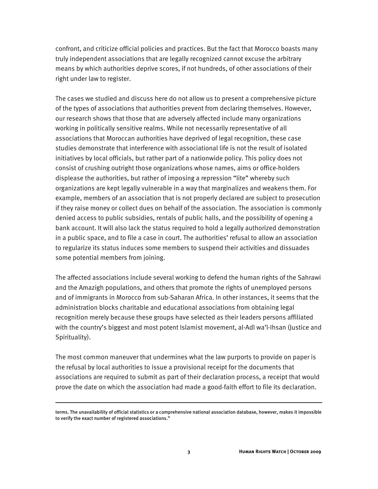confront, and criticize official policies and practices. But the fact that Morocco boasts many truly independent associations that are legally recognized cannot excuse the arbitrary means by which authorities deprive scores, if not hundreds, of other associations of their right under law to register.

The cases we studied and discuss here do not allow us to present a comprehensive picture of the types of associations that authorities prevent from declaring themselves. However, our research shows that those that are adversely affected include many organizations working in politically sensitive realms. While not necessarily representative of all associations that Moroccan authorities have deprived of legal recognition, these case studies demonstrate that interference with associational life is not the result of isolated initiatives by local officials, but rather part of a nationwide policy. This policy does not consist of crushing outright those organizations whose names, aims or office-holders displease the authorities, but rather of imposing a repression "lite" whereby such organizations are kept legally vulnerable in a way that marginalizes and weakens them. For example, members of an association that is not properly declared are subject to prosecution if they raise money or collect dues on behalf of the association. The association is commonly denied access to public subsidies, rentals of public halls, and the possibility of opening a bank account. It will also lack the status required to hold a legally authorized demonstration in a public space, and to file a case in court. The authorities' refusal to allow an association to regularize its status induces some members to suspend their activities and dissuades some potential members from joining.

The affected associations include several working to defend the human rights of the Sahrawi and the Amazigh populations, and others that promote the rights of unemployed persons and of immigrants in Morocco from sub-Saharan Africa. In other instances, it seems that the administration blocks charitable and educational associations from obtaining legal recognition merely because these groups have selected as their leaders persons affiliated with the country's biggest and most potent Islamist movement, al-Adl wa'l-Ihsan (Justice and Spirituality).

The most common maneuver that undermines what the law purports to provide on paper is the refusal by local authorities to issue a provisional receipt for the documents that associations are required to submit as part of their declaration process, a receipt that would prove the date on which the association had made a good-faith effort to file its declaration.

1

terms. The unavailability of official statistics or a comprehensive national association database, however, makes it impossible to verify the exact number of registered associations."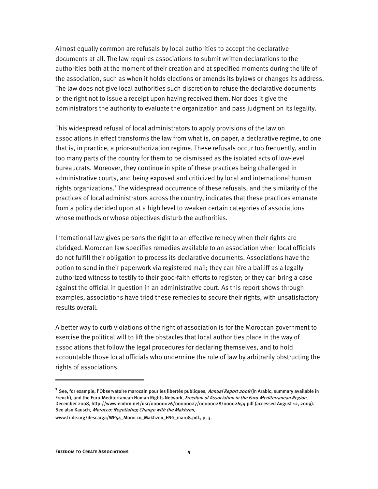Almost equally common are refusals by local authorities to accept the declarative documents at all. The law requires associations to submit written declarations to the authorities both at the moment of their creation and at specified moments during the life of the association, such as when it holds elections or amends its bylaws or changes its address. The law does not give local authorities such discretion to refuse the declarative documents or the right not to issue a receipt upon having received them. Nor does it give the administrators the authority to evaluate the organization and pass judgment on its legality.

This widespread refusal of local administrators to apply provisions of the law on associations in effect transforms the law from what is, on paper, a declarative regime, to one that is, in practice, a prior-authorization regime. These refusals occur too frequently, and in too many parts of the country for them to be dismissed as the isolated acts of low-level bureaucrats. Moreover, they continue in spite of these practices being challenged in administrative courts, and being exposed and criticized by local and international human rights organizations.<sup>7</sup> The widespread occurrence of these refusals, and the similarity of the practices of local administrators across the country, indicates that these practices emanate from a policy decided upon at a high level to weaken certain categories of associations whose methods or whose objectives disturb the authorities.

International law gives persons the right to an effective remedy when their rights are abridged. Moroccan law specifies remedies available to an association when local officials do not fulfill their obligation to process its declarative documents. Associations have the option to send in their paperwork via registered mail; they can hire a bailiff as a legally authorized witness to testify to their good-faith efforts to register; or they can bring a case against the official in question in an administrative court. As this report shows through examples, associations have tried these remedies to secure their rights, with unsatisfactory results overall.

A better way to curb violations of the right of association is for the Moroccan government to exercise the political will to lift the obstacles that local authorities place in the way of associations that follow the legal procedures for declaring themselves, and to hold accountable those local officials who undermine the rule of law by arbitrarily obstructing the rights of associations.

**<sup>7</sup>** See, for example, l'Observatoire marocain pour les libertés publiques, Annual Report 2008 (in Arabic; summary available in French), and the Euro-Mediterranean Human Rights Network, Freedom of Association in the Euro-Mediterranean Region, December 2008, http://www.emhrn.net/usr/00000026/00000027/00000028/00002654.pdf (accessed August 12, 2009). See also Kausch, Morocco: Negotiating Change with the Makhzen,

www.fride.org/descarga/WP54\_Morocco\_Makhzen\_ENG\_mar08.pdf, p. 3.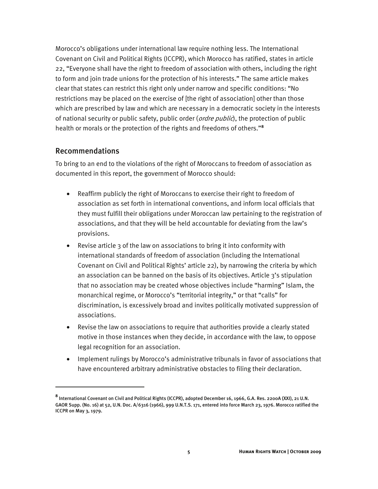Morocco's obligations under international law require nothing less. The International Covenant on Civil and Political Rights (ICCPR), which Morocco has ratified, states in article 22, "Everyone shall have the right to freedom of association with others, including the right to form and join trade unions for the protection of his interests." The same article makes clear that states can restrict this right only under narrow and specific conditions: "No restrictions may be placed on the exercise of [the right of association] other than those which are prescribed by law and which are necessary in a democratic society in the interests of national security or public safety, public order (ordre public), the protection of public health or morals or the protection of the rights and freedoms of others."**<sup>8</sup>**

#### Recommendations

I

To bring to an end to the violations of the right of Moroccans to freedom of association as documented in this report, the government of Morocco should:

- Reaffirm publicly the right of Moroccans to exercise their right to freedom of association as set forth in international conventions, and inform local officials that they must fulfill their obligations under Moroccan law pertaining to the registration of associations, and that they will be held accountable for deviating from the law's provisions.
- Revise article 3 of the law on associations to bring it into conformity with international standards of freedom of association (including the International Covenant on Civil and Political Rights' article 22), by narrowing the criteria by which an association can be banned on the basis of its objectives. Article  $3$ 's stipulation that no association may be created whose objectives include "harming" Islam, the monarchical regime, or Morocco's "territorial integrity," or that "calls" for discrimination, is excessively broad and invites politically motivated suppression of associations.
- Revise the law on associations to require that authorities provide a clearly stated motive in those instances when they decide, in accordance with the law, to oppose legal recognition for an association.
- Implement rulings by Morocco's administrative tribunals in favor of associations that have encountered arbitrary administrative obstacles to filing their declaration.

**<sup>8</sup>** International Covenant on Civil and Political Rights (ICCPR), adopted December 16, 1966, G.A. Res. 2200A (XXI), 21 U.N. GAOR Supp. (No. 16) at 52, U.N. Doc. A/6316 (1966), 999 U.N.T.S. 171, entered into force March 23, 1976. Morocco ratified the ICCPR on May 3, 1979.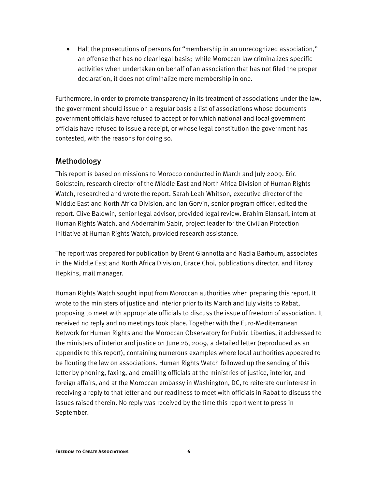• Halt the prosecutions of persons for "membership in an unrecognized association," an offense that has no clear legal basis; while Moroccan law criminalizes specific activities when undertaken on behalf of an association that has not filed the proper declaration, it does not criminalize mere membership in one.

Furthermore, in order to promote transparency in its treatment of associations under the law, the government should issue on a regular basis a list of associations whose documents government officials have refused to accept or for which national and local government officials have refused to issue a receipt, or whose legal constitution the government has contested, with the reasons for doing so.

#### Methodology

This report is based on missions to Morocco conducted in March and July 2009. Eric Goldstein, research director of the Middle East and North Africa Division of Human Rights Watch, researched and wrote the report. Sarah Leah Whitson, executive director of the Middle East and North Africa Division, and Ian Gorvin, senior program officer, edited the report. Clive Baldwin, senior legal advisor, provided legal review. Brahim Elansari, intern at Human Rights Watch, and Abderrahim Sabir, project leader for the Civilian Protection Initiative at Human Rights Watch, provided research assistance.

The report was prepared for publication by Brent Giannotta and Nadia Barhoum, associates in the Middle East and North Africa Division, Grace Choi, publications director, and Fitzroy Hepkins, mail manager.

Human Rights Watch sought input from Moroccan authorities when preparing this report. It wrote to the ministers of justice and interior prior to its March and July visits to Rabat, proposing to meet with appropriate officials to discuss the issue of freedom of association. It received no reply and no meetings took place. Together with the Euro-Mediterranean Network for Human Rights and the Moroccan Observatory for Public Liberties, it addressed to the ministers of interior and justice on June 26, 2009, a detailed letter (reproduced as an appendix to this report), containing numerous examples where local authorities appeared to be flouting the law on associations. Human Rights Watch followed up the sending of this letter by phoning, faxing, and emailing officials at the ministries of justice, interior, and foreign affairs, and at the Moroccan embassy in Washington, DC, to reiterate our interest in receiving a reply to that letter and our readiness to meet with officials in Rabat to discuss the issues raised therein. No reply was received by the time this report went to press in September.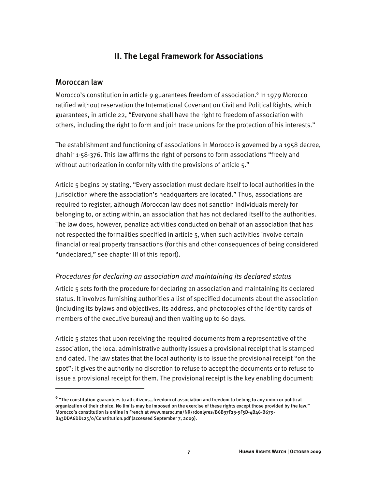### **II. The Legal Framework for Associations**

#### Moroccan law

j

Morocco's constitution in article 9 guarantees freedom of association.<sup>9</sup> In 1979 Morocco ratified without reservation the International Covenant on Civil and Political Rights, which guarantees, in article 22, "Everyone shall have the right to freedom of association with others, including the right to form and join trade unions for the protection of his interests."

The establishment and functioning of associations in Morocco is governed by a 1958 decree, dhahir 1-58-376. This law affirms the right of persons to form associations "freely and without authorization in conformity with the provisions of article 5."

Article 5 begins by stating, "Every association must declare itself to local authorities in the jurisdiction where the association's headquarters are located." Thus, associations are required to register, although Moroccan law does not sanction individuals merely for belonging to, or acting within, an association that has not declared itself to the authorities. The law does, however, penalize activities conducted on behalf of an association that has not respected the formalities specified in article 5, when such activities involve certain financial or real property transactions (for this and other consequences of being considered "undeclared," see chapter III of this report).

#### *Procedures for declaring an association and maintaining its declared status*

Article 5 sets forth the procedure for declaring an association and maintaining its declared status. It involves furnishing authorities a list of specified documents about the association (including its bylaws and objectives, its address, and photocopies of the identity cards of members of the executive bureau) and then waiting up to 60 days.

Article 5 states that upon receiving the required documents from a representative of the association, the local administrative authority issues a provisional receipt that is stamped and dated. The law states that the local authority is to issue the provisional receipt "on the spot"; it gives the authority no discretion to refuse to accept the documents or to refuse to issue a provisional receipt for them. The provisional receipt is the key enabling document:

**<sup>9</sup>** "The constitution guarantees to all citizens…freedom of association and freedom to belong to any union or political organization of their choice. No limits may be imposed on the exercise of these rights except those provided by the law." Morocco's constitution is online in French at www.maroc.ma/NR/rdonlyres/B6B37F23-9F5D-4B46-B679- B43DDA6DD125/0/Constitution.pdf (accessed September 7, 2009).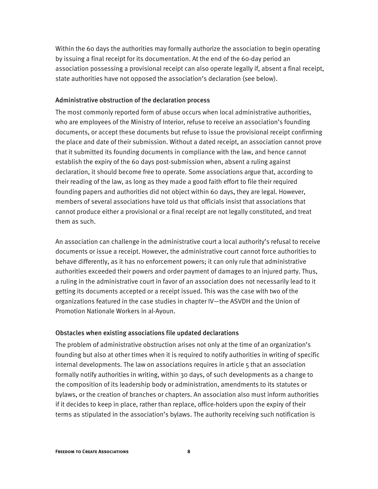Within the 60 days the authorities may formally authorize the association to begin operating by issuing a final receipt for its documentation. At the end of the 60-day period an association possessing a provisional receipt can also operate legally if, absent a final receipt, state authorities have not opposed the association's declaration (see below).

#### Administrative obstruction of the declaration process

The most commonly reported form of abuse occurs when local administrative authorities, who are employees of the Ministry of Interior, refuse to receive an association's founding documents, or accept these documents but refuse to issue the provisional receipt confirming the place and date of their submission. Without a dated receipt, an association cannot prove that it submitted its founding documents in compliance with the law, and hence cannot establish the expiry of the 60 days post-submission when, absent a ruling against declaration, it should become free to operate. Some associations argue that, according to their reading of the law, as long as they made a good faith effort to file their required founding papers and authorities did not object within 60 days, they are legal. However, members of several associations have told us that officials insist that associations that cannot produce either a provisional or a final receipt are not legally constituted, and treat them as such.

An association can challenge in the administrative court a local authority's refusal to receive documents or issue a receipt. However, the administrative court cannot force authorities to behave differently, as it has no enforcement powers; it can only rule that administrative authorities exceeded their powers and order payment of damages to an injured party. Thus, a ruling in the administrative court in favor of an association does not necessarily lead to it getting its documents accepted or a receipt issued. This was the case with two of the organizations featured in the case studies in chapter IV—the ASVDH and the Union of Promotion Nationale Workers in al-Ayoun.

#### Obstacles when existing associations file updated declarations

The problem of administrative obstruction arises not only at the time of an organization's founding but also at other times when it is required to notify authorities in writing of specific internal developments. The law on associations requires in article 5 that an association formally notify authorities in writing, within 30 days, of such developments as a change to the composition of its leadership body or administration, amendments to its statutes or bylaws, or the creation of branches or chapters. An association also must inform authorities if it decides to keep in place, rather than replace, office-holders upon the expiry of their terms as stipulated in the association's bylaws. The authority receiving such notification is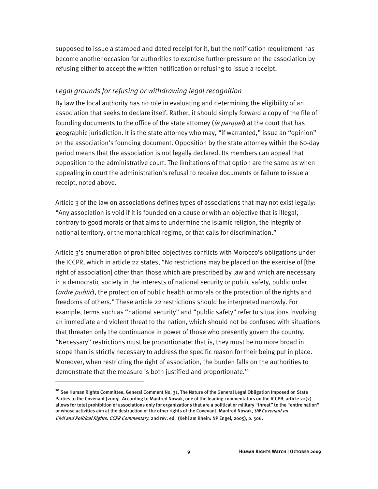supposed to issue a stamped and dated receipt for it, but the notification requirement has become another occasion for authorities to exercise further pressure on the association by refusing either to accept the written notification or refusing to issue a receipt.

#### *Legal grounds for refusing or withdrawing legal recognition*

By law the local authority has no role in evaluating and determining the eligibility of an association that seeks to declare itself. Rather, it should simply forward a copy of the file of founding documents to the office of the state attorney (*le parquet*) at the court that has geographic jurisdiction. It is the state attorney who may, "if warranted," issue an "opinion" on the association's founding document. Opposition by the state attorney within the 60-day period means that the association is not legally declared. Its members can appeal that opposition to the administrative court. The limitations of that option are the same as when appealing in court the administration's refusal to receive documents or failure to issue a receipt, noted above.

Article 3 of the law on associations defines types of associations that may not exist legally: "Any association is void if it is founded on a cause or with an objective that is illegal, contrary to good morals or that aims to undermine the Islamic religion, the integrity of national territory, or the monarchical regime, or that calls for discrimination."

Article 3's enumeration of prohibited objectives conflicts with Morocco's obligations under the ICCPR, which in article 22 states, "No restrictions may be placed on the exercise of [the right of association] other than those which are prescribed by law and which are necessary in a democratic society in the interests of national security or public safety, public order (ordre public), the protection of public health or morals or the protection of the rights and freedoms of others." These article 22 restrictions should be interpreted narrowly. For example, terms such as "national security" and "public safety" refer to situations involving an immediate and violent threat to the nation, which should not be confused with situations that threaten only the continuance in power of those who presently govern the country. "Necessary" restrictions must be proportionate: that is, they must be no more broad in scope than is strictly necessary to address the specific reason for their being put in place. Moreover, when restricting the right of association, the burden falls on the authorities to demonstrate that the measure is both justified and proportionate.<sup>10</sup>

l

**<sup>10</sup>** See Human Rights Committee, General Comment No. 31, The Nature of the General Legal Obligation Imposed on State Parties to the Covenant [2004]. According to Manfred Nowak, one of the leading commentators on the ICCPR, article 22(2) allows for total prohibition of associations only for organizations that are a political or military "threat" to the "entire nation" or whose activities aim at the destruction of the other rights of the Covenant. Manfred Nowak, UN Covenant on Civil and Political Rights: CCPR Commentary, 2nd rev. ed. (Kehl am Rhein: NP Engel, 2005), p. 506.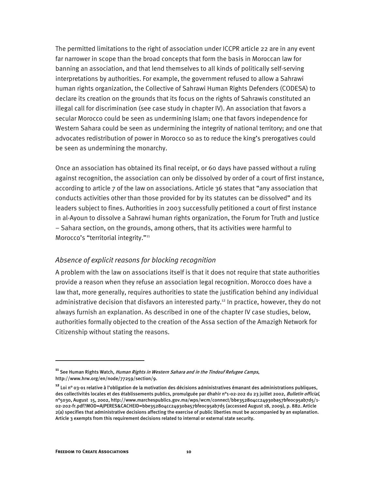The permitted limitations to the right of association under ICCPR article 22 are in any event far narrower in scope than the broad concepts that form the basis in Moroccan law for banning an association, and that lend themselves to all kinds of politically self-serving interpretations by authorities. For example, the government refused to allow a Sahrawi human rights organization, the Collective of Sahrawi Human Rights Defenders (CODESA) to declare its creation on the grounds that its focus on the rights of Sahrawis constituted an illegal call for discrimination (see case study in chapter IV). An association that favors a secular Morocco could be seen as undermining Islam; one that favors independence for Western Sahara could be seen as undermining the integrity of national territory; and one that advocates redistribution of power in Morocco so as to reduce the king's prerogatives could be seen as undermining the monarchy.

Once an association has obtained its final receipt, or 60 days have passed without a ruling against recognition, the association can only be dissolved by order of a court of first instance, according to article 7 of the law on associations. Article 36 states that "any association that conducts activities other than those provided for by its statutes can be dissolved" and its leaders subject to fines. Authorities in 2003 successfully petitioned a court of first instance in al-Ayoun to dissolve a Sahrawi human rights organization, the Forum for Truth and Justice – Sahara section, on the grounds, among others, that its activities were harmful to Morocco's "territorial integrity."<sup>11</sup>

#### *Absence of explicit reasons for blocking recognition*

A problem with the law on associations itself is that it does not require that state authorities provide a reason when they refuse an association legal recognition. Morocco does have a law that, more generally, requires authorities to state the justification behind any individual administrative decision that disfavors an interested party.<sup>12</sup> In practice, however, they do not always furnish an explanation. As described in one of the chapter IV case studies, below, authorities formally objected to the creation of the Assa section of the Amazigh Network for Citizenship without stating the reasons.

l

**<sup>11</sup>** See Human Rights Watch, Human Rights in Western Sahara and in the Tindouf Refugee Camps, http://www.hrw.org/en/node/77259/section/9.

**<sup>12</sup>** Loi n° 03-01 relative à l'obligation de la motivation des décisions administratives émanant des administrations publiques, des collectivités locales et des établissements publics, promulguée par dhahir nº1-02-202 du 23 juillet 2002, Bulletin official, n°5030, August 15, 2002, http://www.marchespublics.gov.ma/wps/wcm/connect/bbe352804cc24930ba57bfe0c95ab7d5/1- 02-202-fr.pdf?MOD=AJPERES&CACHEID=bbe352804cc24930ba57bfe0c95ab7d5 (accessed August 18, 2009), p. 882. Article 2(a) specifies that administrative decisions affecting the exercise of public liberties must be accompanied by an explanation. Article 3 exempts from this requirement decisions related to internal or external state security.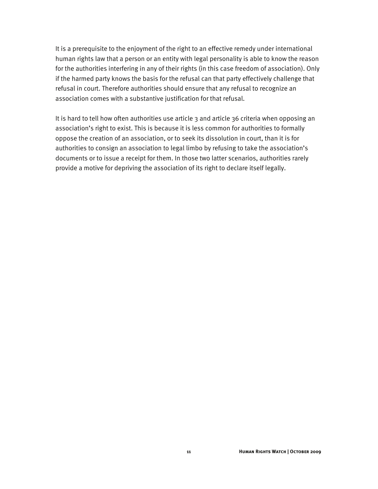It is a prerequisite to the enjoyment of the right to an effective remedy under international human rights law that a person or an entity with legal personality is able to know the reason for the authorities interfering in any of their rights (in this case freedom of association). Only if the harmed party knows the basis for the refusal can that party effectively challenge that refusal in court. Therefore authorities should ensure that any refusal to recognize an association comes with a substantive justification for that refusal.

It is hard to tell how often authorities use article 3 and article 36 criteria when opposing an association's right to exist. This is because it is less common for authorities to formally oppose the creation of an association, or to seek its dissolution in court, than it is for authorities to consign an association to legal limbo by refusing to take the association's documents or to issue a receipt for them. In those two latter scenarios, authorities rarely provide a motive for depriving the association of its right to declare itself legally.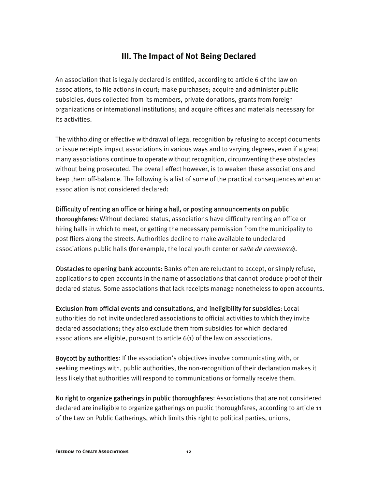### **III. The Impact of Not Being Declared**

An association that is legally declared is entitled, according to article 6 of the law on associations, to file actions in court; make purchases; acquire and administer public subsidies, dues collected from its members, private donations, grants from foreign organizations or international institutions; and acquire offices and materials necessary for its activities.

The withholding or effective withdrawal of legal recognition by refusing to accept documents or issue receipts impact associations in various ways and to varying degrees, even if a great many associations continue to operate without recognition, circumventing these obstacles without being prosecuted. The overall effect however, is to weaken these associations and keep them off-balance. The following is a list of some of the practical consequences when an association is not considered declared:

#### Difficulty of renting an office or hiring a hall, or posting announcements on public

thoroughfares: Without declared status, associations have difficulty renting an office or hiring halls in which to meet, or getting the necessary permission from the municipality to post fliers along the streets. Authorities decline to make available to undeclared associations public halls (for example, the local youth center or *salle de commerce*).

Obstacles to opening bank accounts: Banks often are reluctant to accept, or simply refuse, applications to open accounts in the name of associations that cannot produce proof of their declared status. Some associations that lack receipts manage nonetheless to open accounts.

Exclusion from official events and consultations, and ineligibility for subsidies: Local authorities do not invite undeclared associations to official activities to which they invite declared associations; they also exclude them from subsidies for which declared associations are eligible, pursuant to article 6(1) of the law on associations.

Boycott by authorities: If the association's objectives involve communicating with, or seeking meetings with, public authorities, the non-recognition of their declaration makes it less likely that authorities will respond to communications or formally receive them.

No right to organize gatherings in public thoroughfares: Associations that are not considered declared are ineligible to organize gatherings on public thoroughfares, according to article 11 of the Law on Public Gatherings, which limits this right to political parties, unions,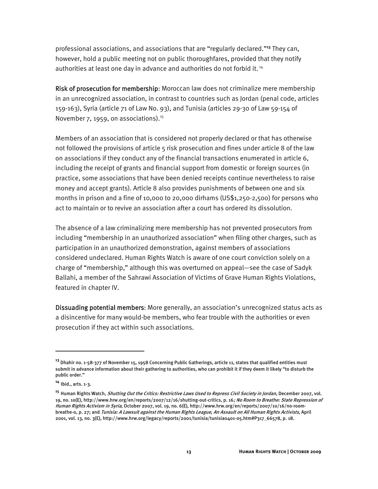professional associations, and associations that are "regularly declared."**<sup>13</sup>** They can, however, hold a public meeting not on public thoroughfares, provided that they notify authorities at least one day in advance and authorities do not forbid it.<sup>14</sup>

Risk of prosecution for membership: Moroccan law does not criminalize mere membership in an unrecognized association, in contrast to countries such as Jordan (penal code, articles 159-163), Syria (article 71 of Law No. 93), and Tunisia (articles 29-30 of Law 59-154 of November 7, 1959, on associations). $15$ 

Members of an association that is considered not properly declared or that has otherwise not followed the provisions of article 5 risk prosecution and fines under article 8 of the law on associations if they conduct any of the financial transactions enumerated in article 6, including the receipt of grants and financial support from domestic or foreign sources (in practice, some associations that have been denied receipts continue nevertheless to raise money and accept grants). Article 8 also provides punishments of between one and six months in prison and a fine of 10,000 to 20,000 dirhams (US\$1,250-2,500) for persons who act to maintain or to revive an association after a court has ordered its dissolution.

The absence of a law criminalizing mere membership has not prevented prosecutors from including "membership in an unauthorized association" when filing other charges, such as participation in an unauthorized demonstration, against members of associations considered undeclared. Human Rights Watch is aware of one court conviction solely on a charge of "membership," although this was overturned on appeal—see the case of Sadyk Ballahi, a member of the Sahrawi Association of Victims of Grave Human Rights Violations, featured in chapter IV.

Dissuading potential members: More generally, an association's unrecognized status acts as a disincentive for many would-be members, who fear trouble with the authorities or even prosecution if they act within such associations.

**<sup>13</sup>** Dhahir no. 1-58-377 of November 15, 1958 Concerning Public Gatherings, article 11, states that qualified entities must submit in advance information about their gathering to authorities, who can prohibit it if they deem it likely "to disturb the public order."

**<sup>14</sup>** Ibid., arts. 1-3.

**<sup>15</sup>** Human Rights Watch, Shutting Out the Critics: Restrictive Laws Used to Repress Civil Society in Jordan, December 2007, vol. 19, no. 10(E), http://www.hrw.org/en/reports/2007/12/16/shutting-out-critics, p. 16; No Room to Breathe: State Repression of Human Rights Activism in Syria, October 2007, vol. 19, no. 6(E), http://www.hrw.org/en/reports/2007/10/16/no-roombreathe-0, p. 27; and Tunisia: A Lawsuit against the Human Rights League, An Assault on All Human Rights Activists, April 2001, vol. 13, no. 3(E), http://www.hrw.org/legacy/reports/2001/tunisia/tunisia0401-05.htm#P317\_66578, p. 18.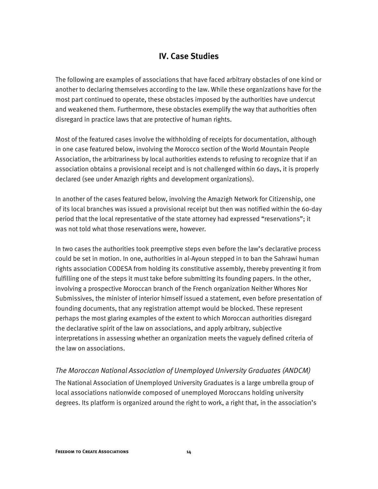### **IV. Case Studies**

The following are examples of associations that have faced arbitrary obstacles of one kind or another to declaring themselves according to the law. While these organizations have for the most part continued to operate, these obstacles imposed by the authorities have undercut and weakened them. Furthermore, these obstacles exemplify the way that authorities often disregard in practice laws that are protective of human rights.

Most of the featured cases involve the withholding of receipts for documentation, although in one case featured below, involving the Morocco section of the World Mountain People Association, the arbitrariness by local authorities extends to refusing to recognize that if an association obtains a provisional receipt and is not challenged within 60 days, it is properly declared (see under Amazigh rights and development organizations).

In another of the cases featured below, involving the Amazigh Network for Citizenship, one of its local branches was issued a provisional receipt but then was notified within the 60-day period that the local representative of the state attorney had expressed "reservations"; it was not told what those reservations were, however.

In two cases the authorities took preemptive steps even before the law's declarative process could be set in motion. In one, authorities in al-Ayoun stepped in to ban the Sahrawi human rights association CODESA from holding its constitutive assembly, thereby preventing it from fulfilling one of the steps it must take before submitting its founding papers. In the other, involving a prospective Moroccan branch of the French organization Neither Whores Nor Submissives, the minister of interior himself issued a statement, even before presentation of founding documents, that any registration attempt would be blocked. These represent perhaps the most glaring examples of the extent to which Moroccan authorities disregard the declarative spirit of the law on associations, and apply arbitrary, subjective interpretations in assessing whether an organization meets the vaguely defined criteria of the law on associations.

#### *The Moroccan National Association of Unemployed University Graduates (ANDCM)*

The National Association of Unemployed University Graduates is a large umbrella group of local associations nationwide composed of unemployed Moroccans holding university degrees. Its platform is organized around the right to work, a right that, in the association's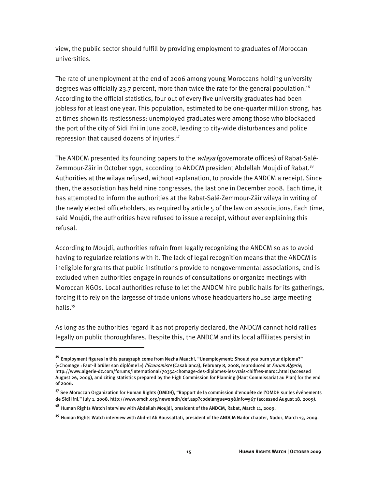view, the public sector should fulfill by providing employment to graduates of Moroccan universities.

The rate of unemployment at the end of 2006 among young Moroccans holding university degrees was officially 23.7 percent, more than twice the rate for the general population.<sup>16</sup> According to the official statistics, four out of every five university graduates had been jobless for at least one year. This population, estimated to be one-quarter million strong, has at times shown its restlessness: unemployed graduates were among those who blockaded the port of the city of Sidi Ifni in June 2008, leading to city-wide disturbances and police repression that caused dozens of injuries.17

The ANDCM presented its founding papers to the *wilaya* (governorate offices) of Rabat-Salé-Zemmour-Zâir in October 1991, according to ANDCM president Abdellah Moujdi of Rabat.<sup>18</sup> Authorities at the wilaya refused, without explanation, to provide the ANDCM a receipt. Since then, the association has held nine congresses, the last one in December 2008. Each time, it has attempted to inform the authorities at the Rabat-Salé-Zemmour-Zâir wilaya in writing of the newly elected officeholders, as required by article 5 of the law on associations. Each time, said Moujdi, the authorities have refused to issue a receipt, without ever explaining this refusal.

According to Moujdi, authorities refrain from legally recognizing the ANDCM so as to avoid having to regularize relations with it. The lack of legal recognition means that the ANDCM is ineligible for grants that public institutions provide to nongovernmental associations, and is excluded when authorities engage in rounds of consultations or organize meetings with Moroccan NGOs. Local authorities refuse to let the ANDCM hire public halls for its gatherings, forcing it to rely on the largesse of trade unions whose headquarters house large meeting halls.<sup>19</sup>

As long as the authorities regard it as not properly declared, the ANDCM cannot hold rallies legally on public thoroughfares. Despite this, the ANDCM and its local affiliates persist in

**<sup>16</sup>** Employment figures in this paragraph come from Nezha Maachi, "Unemployment: Should you burn your diploma?" («Chomage : Faut-il brûler son diplôme?») *l'Economiste* (Casablanca), February 8, 2008, reproduced at *Forum Algerie*, http://www.algerie-dz.com/forums/international/70354-chomage-des-diplomes-les-vrais-chiffres-maroc.html (accessed August 26, 2009), and citing statistics prepared by the High Commission for Planning (Haut Commissariat au Plan) for the end of 2006.

**<sup>17</sup>** See Moroccan Organization for Human Rights (OMDH), "Rapport de la commission d'enquête de l'OMDH sur les événements de Sidi Ifni," July 1, 2008, http://www.omdh.org/newomdh/def.asp?codelangue=23&info=567 (accessed August 18, 2009).

**<sup>18</sup>** Human Rights Watch interview with Abdellah Moujdi, president of the ANDCM, Rabat, March 11, 2009.

**<sup>19</sup>** Human Rights Watch interview with Abd-el Ali Boussattati, president of the ANDCM Nador chapter, Nador, March 13, 2009.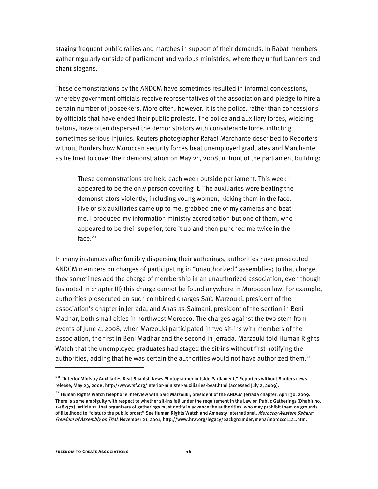staging frequent public rallies and marches in support of their demands. In Rabat members gather regularly outside of parliament and various ministries, where they unfurl banners and chant slogans.

These demonstrations by the ANDCM have sometimes resulted in informal concessions, whereby government officials receive representatives of the association and pledge to hire a certain number of jobseekers. More often, however, it is the police, rather than concessions by officials that have ended their public protests. The police and auxiliary forces, wielding batons, have often dispersed the demonstrators with considerable force, inflicting sometimes serious injuries. Reuters photographer Rafael Marchante described to Reporters without Borders how Moroccan security forces beat unemployed graduates and Marchante as he tried to cover their demonstration on May 21, 2008, in front of the parliament building:

These demonstrations are held each week outside parliament. This week I appeared to be the only person covering it. The auxiliaries were beating the demonstrators violently, including young women, kicking them in the face. Five or six auxiliaries came up to me, grabbed one of my cameras and beat me. I produced my information ministry accreditation but one of them, who appeared to be their superior, tore it up and then punched me twice in the face. $20$ 

In many instances after forcibly dispersing their gatherings, authorities have prosecuted ANDCM members on charges of participating in "unauthorized" assemblies; to that charge, they sometimes add the charge of membership in an unauthorized association, even though (as noted in chapter III) this charge cannot be found anywhere in Moroccan law. For example, authorities prosecuted on such combined charges Saïd Marzouki, president of the association's chapter in Jerrada, and Anas as-Salmani, president of the section in Beni Madhar, both small cities in northwest Morocco. The charges against the two stem from events of June 4, 2008, when Marzouki participated in two sit-ins with members of the association, the first in Beni Madhar and the second in Jerrada. Marzouki told Human Rights Watch that the unemployed graduates had staged the sit-ins without first notifying the authorities, adding that he was certain the authorities would not have authorized them.<sup>21</sup>

**<sup>20</sup>** "Interior Ministry Auxiliaries Beat Spanish News Photographer outside Parliament," Reporters without Borders news release, May 23, 2008, http://www.rsf.org/Interior-minister-auxiliaries-beat.html (accessed July 2, 2009).

**<sup>21</sup>** Human Rights Watch telephone interview with Saïd Marzouki, president of the ANDCM Jerrada chapter, April 30, 2009. There is some ambiguity with respect to whether sit-ins fall under the requirement in the Law on Public Gatherings (Dhahir no. 1-58-377), article 11, that organizers of gatherings must notify in advance the authorities, who may prohibit them on grounds of likelihood to "disturb the public order:" See Human Rights Watch and Amnesty International, Morocco/Western Sahara: Freedom of Assembly on Trial, November 21, 2001, http://www.hrw.org/legacy/backgrounder/mena/morocco1121.htm.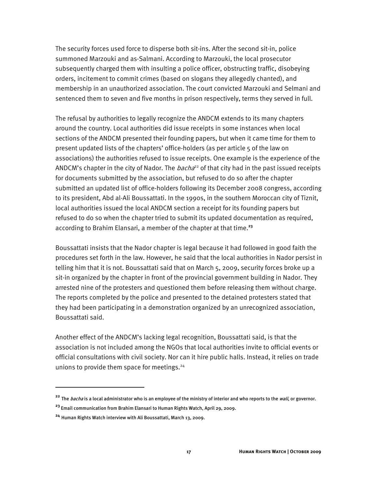The security forces used force to disperse both sit-ins. After the second sit-in, police summoned Marzouki and as-Salmani. According to Marzouki, the local prosecutor subsequently charged them with insulting a police officer, obstructing traffic, disobeying orders, incitement to commit crimes (based on slogans they allegedly chanted), and membership in an unauthorized association. The court convicted Marzouki and Selmani and sentenced them to seven and five months in prison respectively, terms they served in full.

The refusal by authorities to legally recognize the ANDCM extends to its many chapters around the country. Local authorities did issue receipts in some instances when local sections of the ANDCM presented their founding papers, but when it came time for them to present updated lists of the chapters' office-holders (as per article 5 of the law on associations) the authorities refused to issue receipts. One example is the experience of the ANDCM's chapter in the city of Nador. The *bacha*<sup>22</sup> of that city had in the past issued receipts for documents submitted by the association, but refused to do so after the chapter submitted an updated list of office-holders following its December 2008 congress, according to its president, Abd al-Ali Boussattati. In the 1990s, in the southern Moroccan city of Tiznit, local authorities issued the local ANDCM section a receipt for its founding papers but refused to do so when the chapter tried to submit its updated documentation as required, according to Brahim Elansari, a member of the chapter at that time.**<sup>23</sup>**

Boussattati insists that the Nador chapter is legal because it had followed in good faith the procedures set forth in the law. However, he said that the local authorities in Nador persist in telling him that it is not. Boussattati said that on March 5, 2009, security forces broke up a sit-in organized by the chapter in front of the provincial government building in Nador. They arrested nine of the protesters and questioned them before releasing them without charge. The reports completed by the police and presented to the detained protesters stated that they had been participating in a demonstration organized by an unrecognized association, Boussattati said.

Another effect of the ANDCM's lacking legal recognition, Boussattati said, is that the association is not included among the NGOs that local authorities invite to official events or official consultations with civil society. Nor can it hire public halls. Instead, it relies on trade unions to provide them space for meetings.<sup>24</sup>

**<sup>22</sup>** The bacha is a local administrator who is an employee of the ministry of interior and who reports to the wali, or governor.

**<sup>23</sup>** Email communication from Brahim Elansari to Human Rights Watch, April 29, 2009.

**<sup>24</sup>** Human Rights Watch interview with Ali Boussattati, March 13, 2009.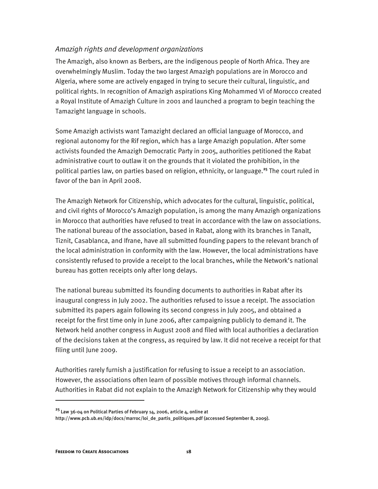#### *Amazigh rights and development organizations*

The Amazigh, also known as Berbers, are the indigenous people of North Africa. They are overwhelmingly Muslim. Today the two largest Amazigh populations are in Morocco and Algeria, where some are actively engaged in trying to secure their cultural, linguistic, and political rights. In recognition of Amazigh aspirations King Mohammed VI of Morocco created a Royal Institute of Amazigh Culture in 2001 and launched a program to begin teaching the Tamazight language in schools.

Some Amazigh activists want Tamazight declared an official language of Morocco, and regional autonomy for the Rif region, which has a large Amazigh population. After some activists founded the Amazigh Democratic Party in 2005, authorities petitioned the Rabat administrative court to outlaw it on the grounds that it violated the prohibition, in the political parties law, on parties based on religion, ethnicity, or language.**<sup>25</sup>** The court ruled in favor of the ban in April 2008.

The Amazigh Network for Citizenship, which advocates for the cultural, linguistic, political, and civil rights of Morocco's Amazigh population, is among the many Amazigh organizations in Morocco that authorities have refused to treat in accordance with the law on associations. The national bureau of the association, based in Rabat, along with its branches in Tanalt, Tiznit, Casablanca, and Ifrane, have all submitted founding papers to the relevant branch of the local administration in conformity with the law. However, the local administrations have consistently refused to provide a receipt to the local branches, while the Network's national bureau has gotten receipts only after long delays.

The national bureau submitted its founding documents to authorities in Rabat after its inaugural congress in July 2002. The authorities refused to issue a receipt. The association submitted its papers again following its second congress in July 2005, and obtained a receipt for the first time only in June 2006, after campaigning publicly to demand it. The Network held another congress in August 2008 and filed with local authorities a declaration of the decisions taken at the congress, as required by law. It did not receive a receipt for that filing until June 2009.

Authorities rarely furnish a justification for refusing to issue a receipt to an association. However, the associations often learn of possible motives through informal channels. Authorities in Rabat did not explain to the Amazigh Network for Citizenship why they would

**<sup>25</sup>** Law 36-04 on Political Parties of February 14, 2006, article 4, online at

http://www.pcb.ub.es/idp/docs/marroc/loi\_de\_partis\_politiques.pdf (accessed September 8, 2009).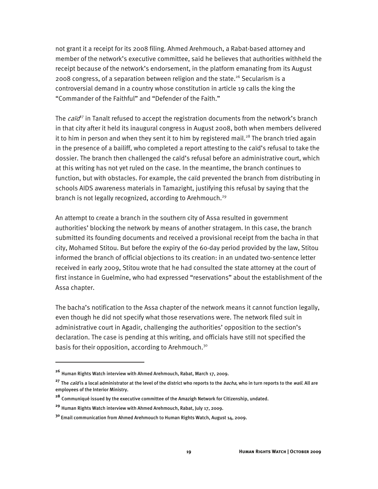not grant it a receipt for its 2008 filing. Ahmed Arehmouch, a Rabat-based attorney and member of the network's executive committee, said he believes that authorities withheld the receipt because of the network's endorsement, in the platform emanating from its August 2008 congress, of a separation between religion and the state.<sup>26</sup> Secularism is a controversial demand in a country whose constitution in article 19 calls the king the "Commander of the Faithful" and "Defender of the Faith."

The *caïd*<sup>7</sup> in Tanalt refused to accept the registration documents from the network's branch in that city after it held its inaugural congress in August 2008, both when members delivered it to him in person and when they sent it to him by registered mail.<sup>28</sup> The branch tried again in the presence of a bailiff, who completed a report attesting to the caïd's refusal to take the dossier. The branch then challenged the caïd's refusal before an administrative court, which at this writing has not yet ruled on the case. In the meantime, the branch continues to function, but with obstacles. For example, the caïd prevented the branch from distributing in schools AIDS awareness materials in Tamazight, justifying this refusal by saying that the branch is not legally recognized, according to Arehmouch.<sup>29</sup>

An attempt to create a branch in the southern city of Assa resulted in government authorities' blocking the network by means of another stratagem. In this case, the branch submitted its founding documents and received a provisional receipt from the bacha in that city, Mohamed Stitou. But before the expiry of the 60-day period provided by the law, Stitou informed the branch of official objections to its creation: in an undated two-sentence letter received in early 2009, Stitou wrote that he had consulted the state attorney at the court of first instance in Guelmine, who had expressed "reservations" about the establishment of the Assa chapter.

The bacha's notification to the Assa chapter of the network means it cannot function legally, even though he did not specify what those reservations were. The network filed suit in administrative court in Agadir, challenging the authorities' opposition to the section's declaration. The case is pending at this writing, and officials have still not specified the basis for their opposition, according to Arehmouch.<sup>30</sup>

**<sup>26</sup>** Human Rights Watch interview with Ahmed Arehmouch, Rabat, March 17, 2009.

<sup>&</sup>lt;sup>27</sup> The *caïd* is a local administrator at the level of the district who reports to the *bacha*, who in turn reports to the *wali*. All are employees of the Interior Ministry.

**<sup>28</sup>** Communiqué issued by the executive committee of the Amazigh Network for Citizenship, undated.

**<sup>29</sup>** Human Rights Watch interview with Ahmed Arehmouch, Rabat, July 17, 2009.

**<sup>30</sup>** Email communication from Ahmed Arehmouch to Human Rights Watch, August 14, 2009.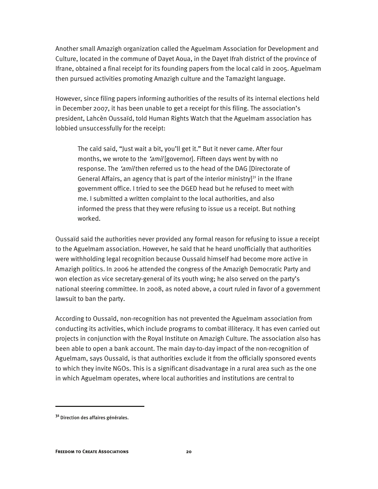Another small Amazigh organization called the Aguelmam Association for Development and Culture, located in the commune of Dayet Aoua, in the Dayet Ifrah district of the province of Ifrane, obtained a final receipt for its founding papers from the local caïd in 2005. Aguelmam then pursued activities promoting Amazigh culture and the Tamazight language.

However, since filing papers informing authorities of the results of its internal elections held in December 2007, it has been unable to get a receipt for this filing. The association's president, Lahcèn Oussaïd, told Human Rights Watch that the Aguelmam association has lobbied unsuccessfully for the receipt:

The caïd said, "Just wait a bit, you'll get it." But it never came. After four months, we wrote to the 'amil [governor]. Fifteen days went by with no response. The 'amil then referred us to the head of the DAG [Directorate of General Affairs, an agency that is part of the interior ministry]<sup>31</sup> in the Ifrane government office. I tried to see the DGED head but he refused to meet with me. I submitted a written complaint to the local authorities, and also informed the press that they were refusing to issue us a receipt. But nothing worked.

Oussaïd said the authorities never provided any formal reason for refusing to issue a receipt to the Aguelmam association. However, he said that he heard unofficially that authorities were withholding legal recognition because Oussaïd himself had become more active in Amazigh politics. In 2006 he attended the congress of the Amazigh Democratic Party and won election as vice secretary-general of its youth wing; he also served on the party's national steering committee. In 2008, as noted above, a court ruled in favor of a government lawsuit to ban the party.

According to Oussaïd, non-recognition has not prevented the Aguelmam association from conducting its activities, which include programs to combat illiteracy. It has even carried out projects in conjunction with the Royal Institute on Amazigh Culture. The association also has been able to open a bank account. The main day-to-day impact of the non-recognition of Aguelmam, says Oussaïd, is that authorities exclude it from the officially sponsored events to which they invite NGOs. This is a significant disadvantage in a rural area such as the one in which Aguelmam operates, where local authorities and institutions are central to

**<sup>31</sup>** Direction des affaires générales.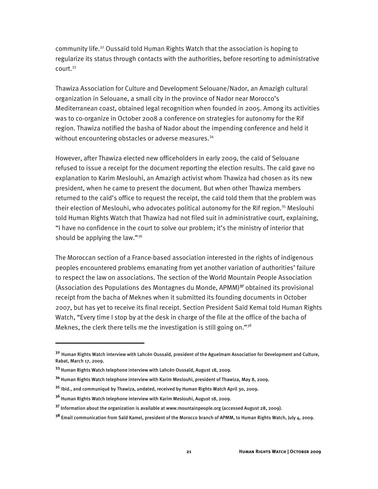community life.32 Oussaïd told Human Rights Watch that the association is hoping to regularize its status through contacts with the authorities, before resorting to administrative court.33

Thawiza Association for Culture and Development Selouane/Nador, an Amazigh cultural organization in Selouane, a small city in the province of Nador near Morocco's Mediterranean coast, obtained legal recognition when founded in 2005. Among its activities was to co-organize in October 2008 a conference on strategies for autonomy for the Rif region. Thawiza notified the basha of Nador about the impending conference and held it without encountering obstacles or adverse measures.<sup>34</sup>

However, after Thawiza elected new officeholders in early 2009, the caïd of Selouane refused to issue a receipt for the document reporting the election results. The caïd gave no explanation to Karim Meslouhi, an Amazigh activist whom Thawiza had chosen as its new president, when he came to present the document. But when other Thawiza members returned to the caïd's office to request the receipt, the caïd told them that the problem was their election of Meslouhi, who advocates political autonomy for the Rif region.<sup>35</sup> Meslouhi told Human Rights Watch that Thawiza had not filed suit in administrative court, explaining, "I have no confidence in the court to solve our problem; it's the ministry of interior that should be applying the law." $36$ 

The Moroccan section of a France-based association interested in the rights of indigenous peoples encountered problems emanating from yet another variation of authorities' failure to respect the law on associations. The section of the World Mountain People Association (Association des Populations des Montagnes du Monde, APMM)**<sup>37</sup>** obtained its provisional receipt from the bacha of Meknes when it submitted its founding documents in October 2007, but has yet to receive its final receipt. Section President Saïd Kemal told Human Rights Watch, "Every time I stop by at the desk in charge of the file at the office of the bacha of Meknes, the clerk there tells me the investigation is still going on."<sup>38</sup>

**<sup>32</sup>** Human Rights Watch interview with Lahcèn Oussaïd, president of the Aguelmam Association for Development and Culture, Rabat, March 17, 2009.

**<sup>33</sup>** Human Rights Watch telephone interview with Lahcèn Oussaïd, August 18, 2009.

**<sup>34</sup>** Human Rights Watch telephone interview with Karim Meslouhi, president of Thawiza, May 8, 2009.

**<sup>35</sup>** Ibid., and communiqué by Thawiza, undated, received by Human Rights Watch April 30, 2009.

**<sup>36</sup>** Human Rights Watch telephone interview with Karim Meslouhi, August 18, 2009.

**<sup>37</sup>** Information about the organization is available at www.mountainpeople.org (accessed August 28, 2009).

**<sup>38</sup>** Email communication from Saïd Kamel, president of the Morocco branch of APMM, to Human Rights Watch, July 4, 2009.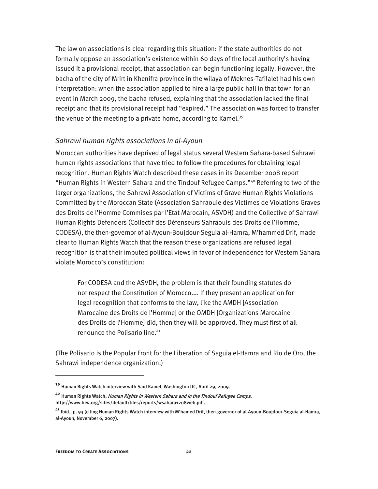The law on associations is clear regarding this situation: if the state authorities do not formally oppose an association's existence within 60 days of the local authority's having issued it a provisional receipt, that association can begin functioning legally. However, the bacha of the city of Mrirt in Khenifra province in the wilaya of Meknes-Tafilalet had his own interpretation: when the association applied to hire a large public hall in that town for an event in March 2009, the bacha refused, explaining that the association lacked the final receipt and that its provisional receipt had "expired." The association was forced to transfer the venue of the meeting to a private home, according to Kamel.<sup>39</sup>

#### *Sahrawi human rights associations in al-Ayoun*

Moroccan authorities have deprived of legal status several Western Sahara-based Sahrawi human rights associations that have tried to follow the procedures for obtaining legal recognition. Human Rights Watch described these cases in its December 2008 report "Human Rights in Western Sahara and the Tindouf Refugee Camps."40 Referring to two of the larger organizations, the Sahrawi Association of Victims of Grave Human Rights Violations Committed by the Moroccan State (Association Sahraouie des Victimes de Violations Graves des Droits de l'Homme Commises par l'Etat Marocain, ASVDH) and the Collective of Sahrawi Human Rights Defenders (Collectif des Défenseurs Sahraouis des Droits de l'Homme, CODESA), the then-governor of al-Ayoun-Boujdour-Seguia al-Hamra, M'hammed Drif, made clear to Human Rights Watch that the reason these organizations are refused legal recognition is that their imputed political views in favor of independence for Western Sahara violate Morocco's constitution:

For CODESA and the ASVDH, the problem is that their founding statutes do not respect the Constitution of Morocco.... If they present an application for legal recognition that conforms to the law, like the AMDH [Association Marocaine des Droits de l'Homme] or the OMDH [Organizations Marocaine des Droits de l'Homme] did, then they will be approved. They must first of all renounce the Polisario line.<sup>41</sup>

(The Polisario is the Popular Front for the Liberation of Saguia el-Hamra and Rio de Oro, the Sahrawi independence organization.)

l

**<sup>39</sup>** Human Rights Watch interview with Saïd Kamel, Washington DC, April 29, 2009.

**<sup>40</sup>** Human Rights Watch, Human Rights in Western Sahara and in the Tindouf Refugee Camps, http://www.hrw.org/sites/default/files/reports/wsahara1208web.pdf.

**<sup>41</sup>** Ibid., p. 93 (citing Human Rights Watch interview with M'hamed Drif, then-governor of al-Ayoun-Boujdour-Seguia al-Hamra, al-Ayoun, November 6, 2007).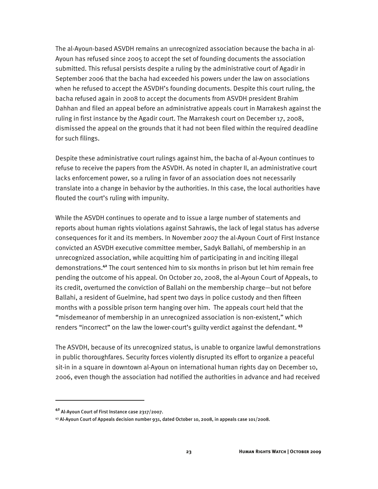The al-Ayoun-based ASVDH remains an unrecognized association because the bacha in al-Ayoun has refused since 2005 to accept the set of founding documents the association submitted. This refusal persists despite a ruling by the administrative court of Agadir in September 2006 that the bacha had exceeded his powers under the law on associations when he refused to accept the ASVDH's founding documents. Despite this court ruling, the bacha refused again in 2008 to accept the documents from ASVDH president Brahim Dahhan and filed an appeal before an administrative appeals court in Marrakesh against the ruling in first instance by the Agadir court. The Marrakesh court on December 17, 2008, dismissed the appeal on the grounds that it had not been filed within the required deadline for such filings.

Despite these administrative court rulings against him, the bacha of al-Ayoun continues to refuse to receive the papers from the ASVDH. As noted in chapter II, an administrative court lacks enforcement power, so a ruling in favor of an association does not necessarily translate into a change in behavior by the authorities. In this case, the local authorities have flouted the court's ruling with impunity.

While the ASVDH continues to operate and to issue a large number of statements and reports about human rights violations against Sahrawis, the lack of legal status has adverse consequences for it and its members. In November 2007 the al-Ayoun Court of First Instance convicted an ASVDH executive committee member, Sadyk Ballahi, of membership in an unrecognized association, while acquitting him of participating in and inciting illegal demonstrations.**<sup>42</sup>** The court sentenced him to six months in prison but let him remain free pending the outcome of his appeal. On October 20, 2008, the al-Ayoun Court of Appeals, to its credit, overturned the conviction of Ballahi on the membership charge—but not before Ballahi, a resident of Guelmine, had spent two days in police custody and then fifteen months with a possible prison term hanging over him. The appeals court held that the "misdemeanor of membership in an unrecognized association is non-existent," which renders "incorrect" on the law the lower-court's guilty verdict against the defendant. **<sup>43</sup>**

The ASVDH, because of its unrecognized status, is unable to organize lawful demonstrations in public thoroughfares. Security forces violently disrupted its effort to organize a peaceful sit-in in a square in downtown al-Ayoun on international human rights day on December 10, 2006, even though the association had notified the authorities in advance and had received

**<sup>42</sup>** Al-Ayoun Court of First Instance case 2317/2007.

 $43$  Al-Ayoun Court of Appeals decision number 931, dated October 10, 2008, in appeals case 101/2008.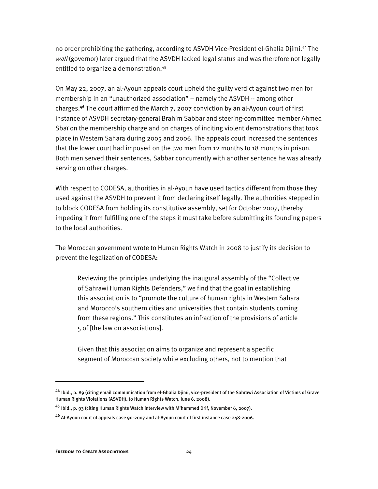no order prohibiting the gathering, according to ASVDH Vice-President el-Ghalia Djimi.44 The wali (governor) later argued that the ASVDH lacked legal status and was therefore not legally entitled to organize a demonstration.<sup>45</sup>

On May 22, 2007, an al-Ayoun appeals court upheld the guilty verdict against two men for membership in an "unauthorized association" – namely the ASVDH -- among other charges.**<sup>46</sup>** The court affirmed the March 7, 2007 conviction by an al-Ayoun court of first instance of ASVDH secretary-general Brahim Sabbar and steering-committee member Ahmed Sbaï on the membership charge and on charges of inciting violent demonstrations that took place in Western Sahara during 2005 and 2006. The appeals court increased the sentences that the lower court had imposed on the two men from 12 months to 18 months in prison. Both men served their sentences, Sabbar concurrently with another sentence he was already serving on other charges.

With respect to CODESA, authorities in al-Ayoun have used tactics different from those they used against the ASVDH to prevent it from declaring itself legally. The authorities stepped in to block CODESA from holding its constitutive assembly, set for October 2007, thereby impeding it from fulfilling one of the steps it must take before submitting its founding papers to the local authorities.

The Moroccan government wrote to Human Rights Watch in 2008 to justify its decision to prevent the legalization of CODESA:

Reviewing the principles underlying the inaugural assembly of the "Collective of Sahrawi Human Rights Defenders," we find that the goal in establishing this association is to "promote the culture of human rights in Western Sahara and Morocco's southern cities and universities that contain students coming from these regions." This constitutes an infraction of the provisions of article 5 of [the law on associations].

Given that this association aims to organize and represent a specific segment of Moroccan society while excluding others, not to mention that

l

**<sup>44</sup>** Ibid., p. 89 (citing email communication from el-Ghalia Djimi, vice-president of the Sahrawi Association of Victims of Grave Human Rights Violations (ASVDH), to Human Rights Watch, June 6, 2008).

**<sup>45</sup>** Ibid., p. 93 (citing Human Rights Watch interview with M'hammed Drif, November 6, 2007).

**<sup>46</sup>** Al-Ayoun court of appeals case 90-2007 and al-Ayoun court of first instance case 248-2006.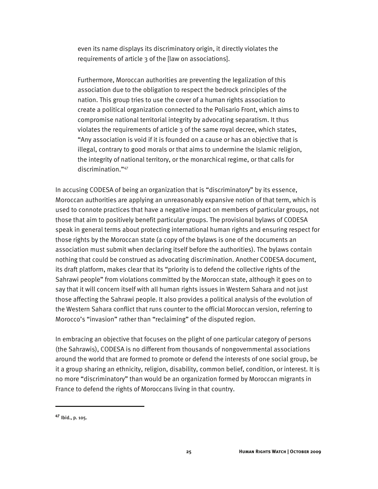even its name displays its discriminatory origin, it directly violates the requirements of article 3 of the [law on associations].

Furthermore, Moroccan authorities are preventing the legalization of this association due to the obligation to respect the bedrock principles of the nation. This group tries to use the cover of a human rights association to create a political organization connected to the Polisario Front, which aims to compromise national territorial integrity by advocating separatism. It thus violates the requirements of article 3 of the same royal decree, which states, "Any association is void if it is founded on a cause or has an objective that is illegal, contrary to good morals or that aims to undermine the Islamic religion, the integrity of national territory, or the monarchical regime, or that calls for discrimination."47

In accusing CODESA of being an organization that is "discriminatory" by its essence, Moroccan authorities are applying an unreasonably expansive notion of that term, which is used to connote practices that have a negative impact on members of particular groups, not those that aim to positively benefit particular groups. The provisional bylaws of CODESA speak in general terms about protecting international human rights and ensuring respect for those rights by the Moroccan state (a copy of the bylaws is one of the documents an association must submit when declaring itself before the authorities). The bylaws contain nothing that could be construed as advocating discrimination. Another CODESA document, its draft platform, makes clear that its "priority is to defend the collective rights of the Sahrawi people" from violations committed by the Moroccan state, although it goes on to say that it will concern itself with all human rights issues in Western Sahara and not just those affecting the Sahrawi people. It also provides a political analysis of the evolution of the Western Sahara conflict that runs counter to the official Moroccan version, referring to Morocco's "invasion" rather than "reclaiming" of the disputed region.

In embracing an objective that focuses on the plight of one particular category of persons (the Sahrawis), CODESA is no different from thousands of nongovernmental associations around the world that are formed to promote or defend the interests of one social group, be it a group sharing an ethnicity, religion, disability, common belief, condition, or interest. It is no more "discriminatory" than would be an organization formed by Moroccan migrants in France to defend the rights of Moroccans living in that country.

**<sup>47</sup>** Ibid., p. 105.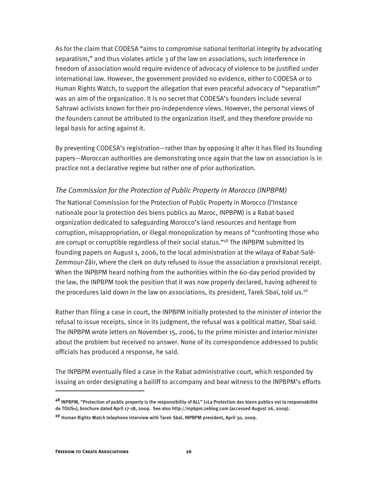As for the claim that CODESA "aims to compromise national territorial integrity by advocating separatism," and thus violates article 3 of the law on associations, such interference in freedom of association would require evidence of advocacy of violence to be justified under international law. However, the government provided no evidence, either to CODESA or to Human Rights Watch, to support the allegation that even peaceful advocacy of "separatism" was an aim of the organization. It is no secret that CODESA's founders include several Sahrawi activists known for their pro-independence views. However, the personal views of the founders cannot be attributed to the organization itself, and they therefore provide no legal basis for acting against it.

By preventing CODESA's registration—rather than by opposing it after it has filed its founding papers—Moroccan authorities are demonstrating once again that the law on association is in practice not a declarative regime but rather one of prior authorization.

#### *The Commission for the Protection of Public Property in Morocco (INPBPM)*

The National Commission for the Protection of Public Property in Morocco (l'Instance nationale pour la protection des biens publics au Maroc, INPBPM) is a Rabat-based organization dedicated to safeguarding Morocco's land resources and heritage from corruption, misappropriation, or illegal monopolization by means of "confronting those who are corrupt or corruptible regardless of their social status."<sup>48</sup> The INPBPM submitted its founding papers on August 1, 2006, to the local administration at the wilaya of Rabat-Salé-Zemmour-Zâir, where the clerk on duty refused to issue the association a provisional receipt. When the INPBPM heard nothing from the authorities within the 60-day period provided by the law, the INPBPM took the position that it was now properly declared, having adhered to the procedures laid down in the law on associations, its president, Tarek Sbaï, told us.<sup>49</sup>

Rather than filing a case in court, the INPBPM initially protested to the minister of interior the refusal to issue receipts, since in its judgment, the refusal was a political matter, Sbaï said. The INPBPM wrote letters on November 15, 2006, to the prime minister and interior minister about the problem but received no answer. None of its correspondence addressed to public officials has produced a response, he said.

The INPBPM eventually filed a case in the Rabat administrative court, which responded by issuing an order designating a bailiff to accompany and bear witness to the INPBPM's efforts

**<sup>48</sup>** INPBPM, "Protection of public property is the responsibility of ALL" («La Protection des biens publics est la responsabilité de TOUS»), brochure dated April 17-18, 2009. See also http://inpbpm.zeblog.com (accessed August 26, 2009).

**<sup>49</sup>** Human Rights Watch telephone interview with Tarek Sbaï, INPBPM president, April 30, 2009.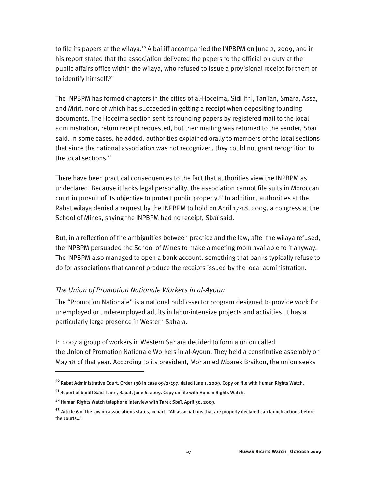to file its papers at the wilaya.<sup>50</sup> A bailiff accompanied the INPBPM on June 2, 2009, and in his report stated that the association delivered the papers to the official on duty at the public affairs office within the wilaya, who refused to issue a provisional receipt for them or to identify himself.<sup>51</sup>

The INPBPM has formed chapters in the cities of al-Hoceima, Sidi Ifni, TanTan, Smara, Assa, and Mrirt, none of which has succeeded in getting a receipt when depositing founding documents. The Hoceima section sent its founding papers by registered mail to the local administration, return receipt requested, but their mailing was returned to the sender, Sbaï said. In some cases, he added, authorities explained orally to members of the local sections that since the national association was not recognized, they could not grant recognition to the local sections.<sup>52</sup>

There have been practical consequences to the fact that authorities view the INPBPM as undeclared. Because it lacks legal personality, the association cannot file suits in Moroccan court in pursuit of its objective to protect public property.<sup>53</sup> In addition, authorities at the Rabat wilaya denied a request by the INPBPM to hold on April 17-18, 2009, a congress at the School of Mines, saying the INPBPM had no receipt, Sbaï said.

But, in a reflection of the ambiguities between practice and the law, after the wilaya refused, the INPBPM persuaded the School of Mines to make a meeting room available to it anyway. The INPBPM also managed to open a bank account, something that banks typically refuse to do for associations that cannot produce the receipts issued by the local administration.

#### *The Union of Promotion Nationale Workers in al-Ayoun*

The "Promotion Nationale" is a national public-sector program designed to provide work for unemployed or underemployed adults in labor-intensive projects and activities. It has a particularly large presence in Western Sahara.

In 2007 a group of workers in Western Sahara decided to form a union called the Union of Promotion Nationale Workers in al-Ayoun. They held a constitutive assembly on May 18 of that year. According to its president, Mohamed Mbarek Braikou, the union seeks

l

**<sup>50</sup>** Rabat Administrative Court, Order 198 in case 09/2/197, dated June 1, 2009. Copy on file with Human Rights Watch.

**<sup>51</sup>** Report of bailiff Saïd Temri, Rabat, June 6, 2009. Copy on file with Human Rights Watch.

**<sup>52</sup>** Human Rights Watch telephone interview with Tarek Sbaï, April 30, 2009.

**<sup>53</sup>** Article 6 of the law on associations states, in part, "All associations that are properly declared can launch actions before the courts…"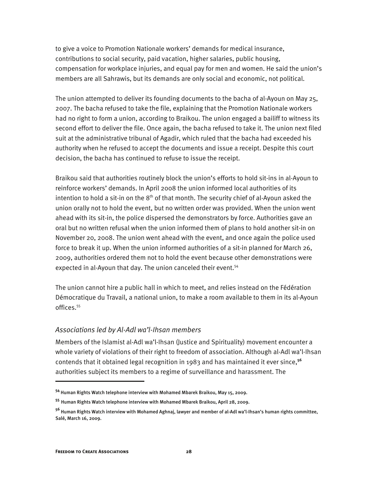to give a voice to Promotion Nationale workers' demands for medical insurance, contributions to social security, paid vacation, higher salaries, public housing, compensation for workplace injuries, and equal pay for men and women. He said the union's members are all Sahrawis, but its demands are only social and economic, not political.

The union attempted to deliver its founding documents to the bacha of al-Ayoun on May 25, 2007. The bacha refused to take the file, explaining that the Promotion Nationale workers had no right to form a union, according to Braikou. The union engaged a bailiff to witness its second effort to deliver the file. Once again, the bacha refused to take it. The union next filed suit at the administrative tribunal of Agadir, which ruled that the bacha had exceeded his authority when he refused to accept the documents and issue a receipt. Despite this court decision, the bacha has continued to refuse to issue the receipt.

Braikou said that authorities routinely block the union's efforts to hold sit-ins in al-Ayoun to reinforce workers' demands. In April 2008 the union informed local authorities of its intention to hold a sit-in on the  $8<sup>th</sup>$  of that month. The security chief of al-Ayoun asked the union orally not to hold the event, but no written order was provided. When the union went ahead with its sit-in, the police dispersed the demonstrators by force. Authorities gave an oral but no written refusal when the union informed them of plans to hold another sit-in on November 20, 2008. The union went ahead with the event, and once again the police used force to break it up. When the union informed authorities of a sit-in planned for March 26, 2009, authorities ordered them not to hold the event because other demonstrations were expected in al-Ayoun that day. The union canceled their event.<sup>54</sup>

The union cannot hire a public hall in which to meet, and relies instead on the Fédération Démocratique du Travail, a national union, to make a room available to them in its al-Ayoun offices.<sup>55</sup>

#### *Associations led by Al-Adl wa'l-Ihsan members*

Members of the Islamist al-Adl wa'l-Ihsan (Justice and Spirituality) movement encounter a whole variety of violations of their right to freedom of association. Although al-Adl wa'l-Ihsan contends that it obtained legal recognition in 1983 and has maintained it ever since,**<sup>56</sup>** authorities subject its members to a regime of surveillance and harassment. The

**<sup>54</sup>** Human Rights Watch telephone interview with Mohamed Mbarek Braikou, May 15, 2009.

**<sup>55</sup>** Human Rights Watch telephone interview with Mohamed Mbarek Braikou, April 28, 2009.

**<sup>56</sup>** Human Rights Watch interview with Mohamed Aghnaj, lawyer and member of al-Adl wa'l-Ihsan's human rights committee, Salé, March 16, 2009.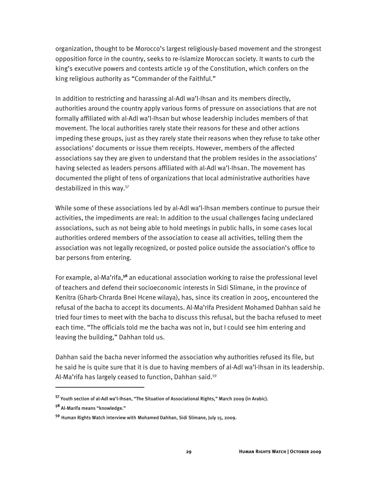organization, thought to be Morocco's largest religiously-based movement and the strongest opposition force in the country, seeks to re-Islamize Moroccan society. It wants to curb the king's executive powers and contests article 19 of the Constitution, which confers on the king religious authority as "Commander of the Faithful."

In addition to restricting and harassing al-Adl wa'l-Ihsan and its members directly, authorities around the country apply various forms of pressure on associations that are not formally affiliated with al-Adl wa'l-Ihsan but whose leadership includes members of that movement. The local authorities rarely state their reasons for these and other actions impeding these groups, just as they rarely state their reasons when they refuse to take other associations' documents or issue them receipts. However, members of the affected associations say they are given to understand that the problem resides in the associations' having selected as leaders persons affiliated with al-Adl wa'l-Ihsan. The movement has documented the plight of tens of organizations that local administrative authorities have destabilized in this way.57

While some of these associations led by al-Adl wa'l-Ihsan members continue to pursue their activities, the impediments are real: In addition to the usual challenges facing undeclared associations, such as not being able to hold meetings in public halls, in some cases local authorities ordered members of the association to cease all activities, telling them the association was not legally recognized, or posted police outside the association's office to bar persons from entering.

For example, al-Ma'rifa,**<sup>58</sup>** an educational association working to raise the professional level of teachers and defend their socioeconomic interests in Sidi Slimane, in the province of Kenitra (Gharb-Chrarda Bnei Hcene wilaya), has, since its creation in 2005, encountered the refusal of the bacha to accept its documents. Al-Ma'rifa President Mohamed Dahhan said he tried four times to meet with the bacha to discuss this refusal, but the bacha refused to meet each time. "The officials told me the bacha was not in, but I could see him entering and leaving the building," Dahhan told us.

Dahhan said the bacha never informed the association why authorities refused its file, but he said he is quite sure that it is due to having members of al-Adl wa'l-Ihsan in its leadership. Al-Ma'rifa has largely ceased to function, Dahhan said.<sup>59</sup>

**<sup>57</sup>** Youth section of al-Adl wa'l-Ihsan, "The Situation of Associational Rights," March 2009 (in Arabic).

**<sup>58</sup>** Al-Marifa means "knowledge."

**<sup>59</sup>** Human Rights Watch interview with Mohamed Dahhan, Sidi Slimane, July 15, 2009.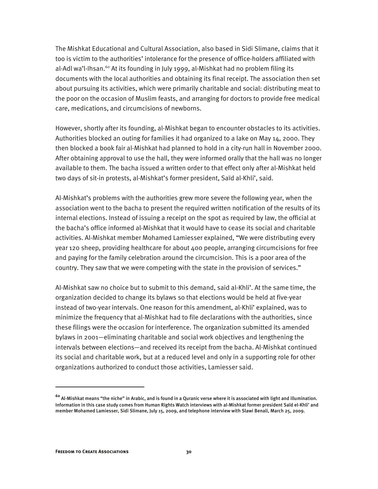The Mishkat Educational and Cultural Association, also based in Sidi Slimane, claims that it too is victim to the authorities' intolerance for the presence of office-holders affiliated with al-Adl wa'l-Ihsan.<sup>60</sup> At its founding in July 1999, al-Mishkat had no problem filing its documents with the local authorities and obtaining its final receipt. The association then set about pursuing its activities, which were primarily charitable and social: distributing meat to the poor on the occasion of Muslim feasts, and arranging for doctors to provide free medical care, medications, and circumcisions of newborns.

However, shortly after its founding, al-Mishkat began to encounter obstacles to its activities. Authorities blocked an outing for families it had organized to a lake on May 14, 2000. They then blocked a book fair al-Mishkat had planned to hold in a city-run hall in November 2000. After obtaining approval to use the hall, they were informed orally that the hall was no longer available to them. The bacha issued a written order to that effect only after al-Mishkat held two days of sit-in protests, al-Mishkat's former president, Saïd al-Khli', said.

Al-Mishkat's problems with the authorities grew more severe the following year, when the association went to the bacha to present the required written notification of the results of its internal elections. Instead of issuing a receipt on the spot as required by law, the official at the bacha's office informed al-Mishkat that it would have to cease its social and charitable activities. Al-Mishkat member Mohamed Lamiesser explained, "We were distributing every year 120 sheep, providing healthcare for about 400 people, arranging circumcisions for free and paying for the family celebration around the circumcision. This is a poor area of the country. They saw that we were competing with the state in the provision of services."

Al-Mishkat saw no choice but to submit to this demand, said al-Khli'. At the same time, the organization decided to change its bylaws so that elections would be held at five-year instead of two-year intervals. One reason for this amendment, al-Khli' explained, was to minimize the frequency that al-Mishkat had to file declarations with the authorities, since these filings were the occasion for interference. The organization submitted its amended bylaws in 2001—eliminating charitable and social work objectives and lengthening the intervals between elections—and received its receipt from the bacha. Al-Mishkat continued its social and charitable work, but at a reduced level and only in a supporting role for other organizations authorized to conduct those activities, Lamiesser said.

**<sup>60</sup>** Al-Mishkat means "the niche" in Arabic, and is found in a Quranic verse where it is associated with light and illumination. Information in this case study comes from Human Rights Watch interviews with al-Mishkat former president Saïd el-Khli' and member Mohamed Lamiesser, Sidi Slimane, July 15, 2009, and telephone interview with Slawi Benali, March 25, 2009.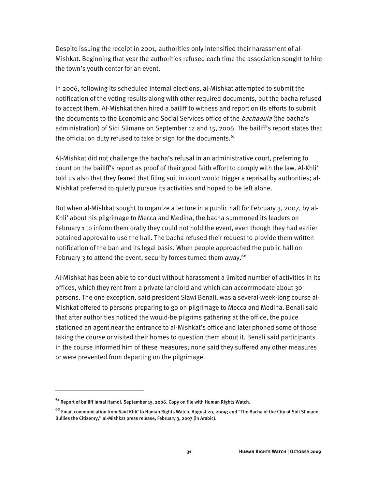Despite issuing the receipt in 2001, authorities only intensified their harassment of al-Mishkat. Beginning that year the authorities refused each time the association sought to hire the town's youth center for an event.

In 2006, following its scheduled internal elections, al-Mishkat attempted to submit the notification of the voting results along with other required documents, but the bacha refused to accept them. Al-Mishkat then hired a bailiff to witness and report on its efforts to submit the documents to the Economic and Social Services office of the *bachaouia* (the bacha's administration) of Sidi Slimane on September 12 and 15, 2006. The bailiff's report states that the official on duty refused to take or sign for the documents. $61$ 

Al-Mishkat did not challenge the bacha's refusal in an administrative court, preferring to count on the bailiff's report as proof of their good faith effort to comply with the law. Al-Khli' told us also that they feared that filing suit in court would trigger a reprisal by authorities; al-Mishkat preferred to quietly pursue its activities and hoped to be left alone.

But when al-Mishkat sought to organize a lecture in a public hall for February 3, 2007, by al-Khli' about his pilgrimage to Mecca and Medina, the bacha summoned its leaders on February 1 to inform them orally they could not hold the event, even though they had earlier obtained approval to use the hall. The bacha refused their request to provide them written notification of the ban and its legal basis. When people approached the public hall on February 3 to attend the event, security forces turned them away.**<sup>62</sup>**

Al-Mishkat has been able to conduct without harassment a limited number of activities in its offices, which they rent from a private landlord and which can accommodate about 30 persons. The one exception, said president Slawi Benali, was a several-week-long course al-Mishkat offered to persons preparing to go on pilgrimage to Mecca and Medina. Benali said that after authorities noticed the would-be pilgrims gathering at the office, the police stationed an agent near the entrance to al-Mishkat's office and later phoned some of those taking the course or visited their homes to question them about it. Benali said participants in the course informed him of these measures; none said they suffered any other measures or were prevented from departing on the pilgrimage.

**<sup>61</sup>** Report of bailiff Jamal Hamdi, September 15, 2006. Copy on file with Human Rights Watch.

**<sup>62</sup>** Email communication from Saïd Khli' to Human Rights Watch, August 20, 2009; and "The Bacha of the City of Sidi Slimane Bullies the Citizenry," al-Mishkat press release, February 3, 2007 (in Arabic).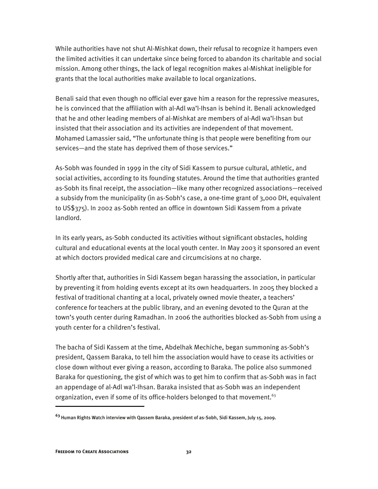While authorities have not shut Al-Mishkat down, their refusal to recognize it hampers even the limited activities it can undertake since being forced to abandon its charitable and social mission. Among other things, the lack of legal recognition makes al-Mishkat ineligible for grants that the local authorities make available to local organizations.

Benali said that even though no official ever gave him a reason for the repressive measures, he is convinced that the affiliation with al-Adl wa'l-Ihsan is behind it. Benali acknowledged that he and other leading members of al-Mishkat are members of al-Adl wa'l-Ihsan but insisted that their association and its activities are independent of that movement. Mohamed Lamassier said, "The unfortunate thing is that people were benefiting from our services—and the state has deprived them of those services."

As-Sobh was founded in 1999 in the city of Sidi Kassem to pursue cultural, athletic, and social activities, according to its founding statutes. Around the time that authorities granted as-Sobh its final receipt, the association—like many other recognized associations—received a subsidy from the municipality (in as-Sobh's case, a one-time grant of 3,000 DH, equivalent to US\$375). In 2002 as-Sobh rented an office in downtown Sidi Kassem from a private landlord.

In its early years, as-Sobh conducted its activities without significant obstacles, holding cultural and educational events at the local youth center. In May 2003 it sponsored an event at which doctors provided medical care and circumcisions at no charge.

Shortly after that, authorities in Sidi Kassem began harassing the association, in particular by preventing it from holding events except at its own headquarters. In 2005 they blocked a festival of traditional chanting at a local, privately owned movie theater, a teachers' conference for teachers at the public library, and an evening devoted to the Quran at the town's youth center during Ramadhan. In 2006 the authorities blocked as-Sobh from using a youth center for a children's festival.

The bacha of Sidi Kassem at the time, Abdelhak Mechiche, began summoning as-Sobh's president, Qassem Baraka, to tell him the association would have to cease its activities or close down without ever giving a reason, according to Baraka. The police also summoned Baraka for questioning, the gist of which was to get him to confirm that as-Sobh was in fact an appendage of al-Adl wa'l-Ihsan. Baraka insisted that as-Sobh was an independent organization, even if some of its office-holders belonged to that movement.<sup>63</sup>

**<sup>63</sup>** Human Rights Watch interview with Qassem Baraka, president of as-Sobh, Sidi Kassem, July 15, 2009.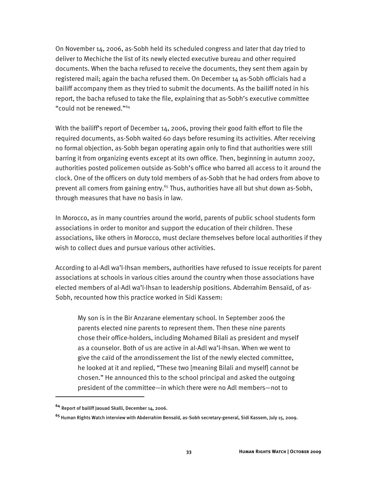On November 14, 2006, as-Sobh held its scheduled congress and later that day tried to deliver to Mechiche the list of its newly elected executive bureau and other required documents. When the bacha refused to receive the documents, they sent them again by registered mail; again the bacha refused them. On December 14 as-Sobh officials had a bailiff accompany them as they tried to submit the documents. As the bailiff noted in his report, the bacha refused to take the file, explaining that as-Sobh's executive committee "could not be renewed."64

With the bailiff's report of December 14, 2006, proving their good faith effort to file the required documents, as-Sobh waited 60 days before resuming its activities. After receiving no formal objection, as-Sobh began operating again only to find that authorities were still barring it from organizing events except at its own office. Then, beginning in autumn 2007, authorities posted policemen outside as-Sobh's office who barred all access to it around the clock. One of the officers on duty told members of as-Sobh that he had orders from above to prevent all comers from gaining entry.<sup>65</sup> Thus, authorities have all but shut down as-Sobh, through measures that have no basis in law.

In Morocco, as in many countries around the world, parents of public school students form associations in order to monitor and support the education of their children. These associations, like others in Morocco, must declare themselves before local authorities if they wish to collect dues and pursue various other activities.

According to al-Adl wa'l-Ihsan members, authorities have refused to issue receipts for parent associations at schools in various cities around the country when those associations have elected members of al-Adl wa'l-Ihsan to leadership positions. Abderrahim Bensaïd, of as-Sobh, recounted how this practice worked in Sidi Kassem:

My son is in the Bir Anzarane elementary school. In September 2006 the parents elected nine parents to represent them. Then these nine parents chose their office-holders, including Mohamed Bilali as president and myself as a counselor. Both of us are active in al-Adl wa'l-Ihsan. When we went to give the caïd of the arrondissement the list of the newly elected committee, he looked at it and replied, "These two [meaning Bilali and myself] cannot be chosen." He announced this to the school principal and asked the outgoing president of the committee—in which there were no Adl members—not to

**<sup>64</sup>** Report of bailiff Jaouad Skalli, December 14, 2006.

**<sup>65</sup>** Human Rights Watch interview with Abderrahim Bensaïd, as-Sobh secretary-general, Sidi Kassem, July 15, 2009.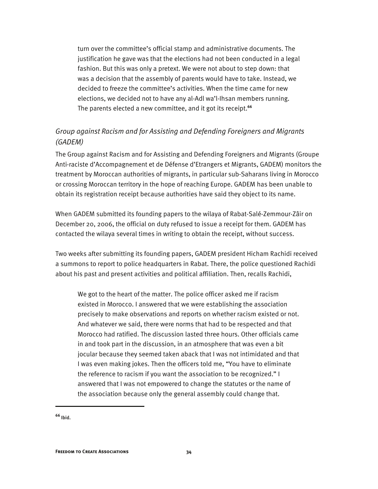turn over the committee's official stamp and administrative documents. The justification he gave was that the elections had not been conducted in a legal fashion. But this was only a pretext. We were not about to step down: that was a decision that the assembly of parents would have to take. Instead, we decided to freeze the committee's activities. When the time came for new elections, we decided not to have any al-Adl wa'l-Ihsan members running. The parents elected a new committee, and it got its receipt.**<sup>66</sup>**

### *Group against Racism and for Assisting and Defending Foreigners and Migrants (GADEM)*

The Group against Racism and for Assisting and Defending Foreigners and Migrants (Groupe Anti-raciste d'Accompagnement et de Défense d'Etrangers et Migrants, GADEM) monitors the treatment by Moroccan authorities of migrants, in particular sub-Saharans living in Morocco or crossing Moroccan territory in the hope of reaching Europe. GADEM has been unable to obtain its registration receipt because authorities have said they object to its name.

When GADEM submitted its founding papers to the wilaya of Rabat-Salé-Zemmour-Zâir on December 20, 2006, the official on duty refused to issue a receipt for them. GADEM has contacted the wilaya several times in writing to obtain the receipt, without success.

Two weeks after submitting its founding papers, GADEM president Hicham Rachidi received a summons to report to police headquarters in Rabat. There, the police questioned Rachidi about his past and present activities and political affiliation. Then, recalls Rachidi,

We got to the heart of the matter. The police officer asked me if racism existed in Morocco. I answered that we were establishing the association precisely to make observations and reports on whether racism existed or not. And whatever we said, there were norms that had to be respected and that Morocco had ratified. The discussion lasted three hours. Other officials came in and took part in the discussion, in an atmosphere that was even a bit jocular because they seemed taken aback that I was not intimidated and that I was even making jokes. Then the officers told me, "You have to eliminate the reference to racism if you want the association to be recognized." I answered that I was not empowered to change the statutes or the name of the association because only the general assembly could change that.

**<sup>66</sup>** Ibid.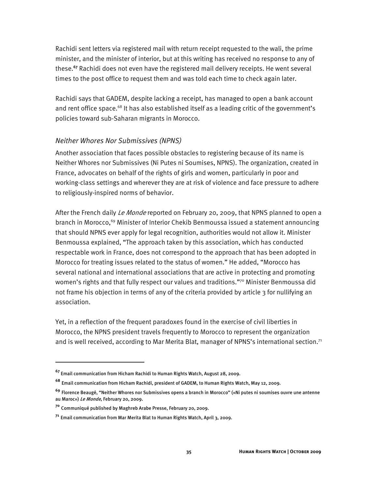Rachidi sent letters via registered mail with return receipt requested to the wali, the prime minister, and the minister of interior, but at this writing has received no response to any of these.**<sup>67</sup>** Rachidi does not even have the registered mail delivery receipts. He went several times to the post office to request them and was told each time to check again later.

Rachidi says that GADEM, despite lacking a receipt, has managed to open a bank account and rent office space.<sup>68</sup> It has also established itself as a leading critic of the government's policies toward sub-Saharan migrants in Morocco.

#### *Neither Whores Nor Submissives (NPNS)*

Another association that faces possible obstacles to registering because of its name is Neither Whores nor Submissives (Ni Putes ni Soumises, NPNS). The organization, created in France, advocates on behalf of the rights of girls and women, particularly in poor and working-class settings and wherever they are at risk of violence and face pressure to adhere to religiously-inspired norms of behavior.

After the French daily Le Monde reported on February 20, 2009, that NPNS planned to open a branch in Morocco,<sup>69</sup> Minister of Interior Chekib Benmoussa issued a statement announcing that should NPNS ever apply for legal recognition, authorities would not allow it. Minister Benmoussa explained, "The approach taken by this association, which has conducted respectable work in France, does not correspond to the approach that has been adopted in Morocco for treating issues related to the status of women." He added, "Morocco has several national and international associations that are active in protecting and promoting women's rights and that fully respect our values and traditions."<sup>70</sup> Minister Benmoussa did not frame his objection in terms of any of the criteria provided by article 3 for nullifying an association.

Yet, in a reflection of the frequent paradoxes found in the exercise of civil liberties in Morocco, the NPNS president travels frequently to Morocco to represent the organization and is well received, according to Mar Merita Blat, manager of NPNS's international section.<sup>71</sup>

**<sup>67</sup>** Email communication from Hicham Rachidi to Human Rights Watch, August 28, 2009.

**<sup>68</sup>** Email communication from Hicham Rachidi, president of GADEM, to Human Rights Watch, May 12, 2009.

**<sup>69</sup>** Florence Beaugé, "Neither Whores nor Submissives opens a branch in Morocco" («Ni putes ni soumises ouvre une antenne au Maroc») Le Monde, February 20, 2009.

**<sup>70</sup>** Communiqué published by Maghreb Arabe Presse, February 20, 2009.

**<sup>71</sup>** Email communication from Mar Merita Blat to Human Rights Watch, April 3, 2009.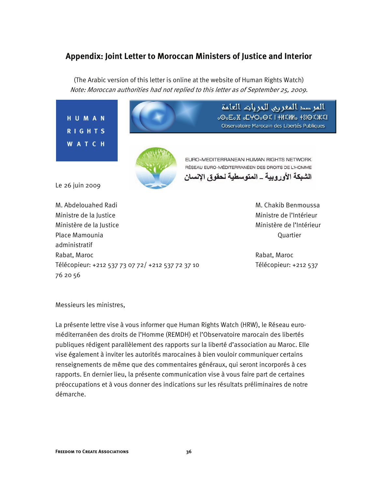### **Appendix: Joint Letter to Moroccan Ministers of Justice and Interior**

(The Arabic version of this letter is online at the website of Human Rights Watch) Note: Moroccan authorities had not replied to this letter as of September 25, 2009.



Ministère de la Justice Ministère de l'Intérieur Place Mamounia Quartier administratif Rabat, Maroc **Rabat, Maroc Rabat, Maroc Rabat, Maroc** Rabat, Maroc Rabat, Maroc Rabat, Maroc Rabat, **Rabat, Maroc** Télécopieur: +212 537 73 07 72/ +212 537 72 37 10 Télécopieur: +212 537 76 20 56

Messieurs les ministres,

La présente lettre vise à vous informer que Human Rights Watch (HRW), le Réseau euroméditerranéen des droits de l'Homme (REMDH) et l'Observatoire marocain des libertés publiques rédigent parallèlement des rapports sur la liberté d'association au Maroc. Elle vise également à inviter les autorités marocaines à bien vouloir communiquer certains renseignements de même que des commentaires généraux, qui seront incorporés à ces rapports. En dernier lieu, la présente communication vise à vous faire part de certaines préoccupations et à vous donner des indications sur les résultats préliminaires de notre démarche.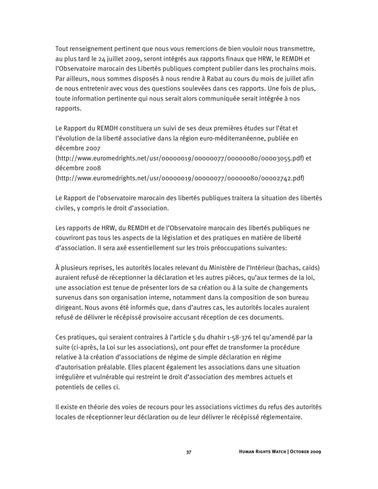Tout renseignement pertinent que nous vous remercions de bien vouloir nous transmettre, au plus tard le 24 juillet 2009, seront intégrés aux rapports finaux que HRW, le REMDH et l'Observatoire marocain des Libertés publiques comptent publier dans les prochains mois. Par ailleurs, nous sommes disposés à nous rendre à Rabat au cours du mois de juillet afin de nous entretenir avec vous des questions soulevées dans ces rapports. Une fois de plus, toute information pertinente qui nous serait alors communiquée serait intégrée à nos rapports.

Le Rapport du REMDH constituera un suivi de ses deux premières études sur l'état et l'évolution de la liberté associative dans la région euro-méditerranéenne, publiée en décembre 2007

(http://www.euromedrights.net/usr/00000019/00000077/00000080/00003055.pdf) et décembre 2008

(http://www.euromedrights.net/usr/00000019/00000077/00000080/00002742.pdf)

Le Rapport de l'observatoire marocain des libertés publiques traitera la situation des libertés civiles, y compris le droit d'association.

Les rapports de HRW, du REMDH et de l'Observatoire marocain des libertés publiques ne couvriront pas tous les aspects de la législation et des pratiques en matière de liberté d'association. Il sera axé essentiellement sur les trois préoccupations suivantes:

À plusieurs reprises, les autorités locales relevant du Ministère de l'Intérieur (bachas, caïds) auraient refusé de réceptionner la déclaration et les autres pièces, qu'aux termes de la loi, une association est tenue de présenter lors de sa création ou à la suite de changements survenus dans son organisation interne, notamment dans la composition de son bureau dirigeant. Nous avons été informés que, dans d'autres cas, les autorités locales auraient refusé de délivrer le récépissé provisoire accusant réception de ces documents.

Ces pratiques, qui seraient contraires à l'article 5 du dhahir 1-58-376 tel qu'amendé par la suite (ci-après, la Loi sur les associations), ont pour effet de transformer la procédure relative à la création d'associations de régime de simple déclaration en régime d'autorisation préalable. Elles placent également les associations dans une situation irrégulière et vulnérable qui restreint le droit d'association des membres actuels et potentiels de celles ci.

Il existe en théorie des voies de recours pour les associations victimes du refus des autorités locales de réceptionner leur déclaration ou de leur délivrer le récépissé réglementaire.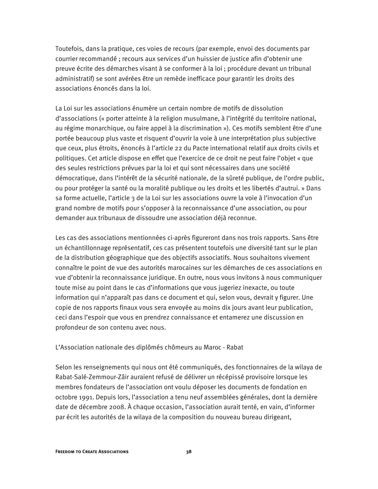Toutefois, dans la pratique, ces voies de recours (par exemple, envoi des documents par courrier recommandé ; recours aux services d'un huissier de justice afin d'obtenir une preuve écrite des démarches visant à se conformer à la loi ; procédure devant un tribunal administratif) se sont avérées être un remède inefficace pour garantir les droits des associations énoncés dans la loi.

La Loi sur les associations énumère un certain nombre de motifs de dissolution d'associations (« porter atteinte à la religion musulmane, à l'intégrité du territoire national, au régime monarchique, ou faire appel à la discrimination »). Ces motifs semblent être d'une portée beaucoup plus vaste et risquent d'ouvrir la voie à une interprétation plus subjective que ceux, plus étroits, énoncés à l'article 22 du Pacte international relatif aux droits civils et politiques. Cet article dispose en effet que l'exercice de ce droit ne peut faire l'objet « que des seules restrictions prévues par la loi et qui sont nécessaires dans une société démocratique, dans l'intérêt de la sécurité nationale, de la sûreté publique, de l'ordre public, ou pour protéger la santé ou la moralité publique ou les droits et les libertés d'autrui. » Dans sa forme actuelle, l'article 3 de la Loi sur les associations ouvre la voie à l'invocation d'un grand nombre de motifs pour s'opposer à la reconnaissance d'une association, ou pour demander aux tribunaux de dissoudre une association déjà reconnue.

Les cas des associations mentionnées ci-après figureront dans nos trois rapports. Sans être un échantillonnage représentatif, ces cas présentent toutefois une diversité tant sur le plan de la distribution géographique que des objectifs associatifs. Nous souhaitons vivement connaître le point de vue des autorités marocaines sur les démarches de ces associations en vue d'obtenir la reconnaissance juridique. En outre, nous vous invitons à nous communiquer toute mise au point dans le cas d'informations que vous jugeriez inexacte, ou toute information qui n'apparaît pas dans ce document et qui, selon vous, devrait y figurer. Une copie de nos rapports finaux vous sera envoyée au moins dix jours avant leur publication, ceci dans l'espoir que vous en prendrez connaissance et entamerez une discussion en profondeur de son contenu avec nous.

#### L'Association nationale des diplômés chômeurs au Maroc - Rabat

Selon les renseignements qui nous ont été communiqués, des fonctionnaires de la wilaya de Rabat-Salé-Zemmour-Zâir auraient refusé de délivrer un récépissé provisoire lorsque les membres fondateurs de l'association ont voulu déposer les documents de fondation en octobre 1991. Depuis lors, l'association a tenu neuf assemblées générales, dont la dernière date de décembre 2008. À chaque occasion, l'association aurait tenté, en vain, d'informer par écrit les autorités de la wilaya de la composition du nouveau bureau dirigeant,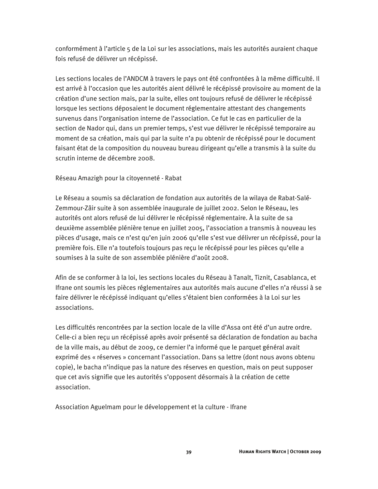conformément à l'article 5 de la Loi sur les associations, mais les autorités auraient chaque fois refusé de délivrer un récépissé.

Les sections locales de l'ANDCM à travers le pays ont été confrontées à la même difficulté. Il est arrivé à l'occasion que les autorités aient délivré le récépissé provisoire au moment de la création d'une section mais, par la suite, elles ont toujours refusé de délivrer le récépissé lorsque les sections déposaient le document réglementaire attestant des changements survenus dans l'organisation interne de l'association. Ce fut le cas en particulier de la section de Nador qui, dans un premier temps, s'est vue délivrer le récépissé temporaire au moment de sa création, mais qui par la suite n'a pu obtenir de récépissé pour le document faisant état de la composition du nouveau bureau dirigeant qu'elle a transmis à la suite du scrutin interne de décembre 2008.

Réseau Amazigh pour la citoyenneté - Rabat

Le Réseau a soumis sa déclaration de fondation aux autorités de la wilaya de Rabat-Salé-Zemmour-Zâir suite à son assemblée inaugurale de juillet 2002. Selon le Réseau, les autorités ont alors refusé de lui délivrer le récépissé réglementaire. À la suite de sa deuxième assemblée plénière tenue en juillet 2005, l'association a transmis à nouveau les pièces d'usage, mais ce n'est qu'en juin 2006 qu'elle s'est vue délivrer un récépissé, pour la première fois. Elle n'a toutefois toujours pas reçu le récépissé pour les pièces qu'elle a soumises à la suite de son assemblée plénière d'août 2008.

Afin de se conformer à la loi, les sections locales du Réseau à Tanalt, Tiznit, Casablanca, et Ifrane ont soumis les pièces réglementaires aux autorités mais aucune d'elles n'a réussi à se faire délivrer le récépissé indiquant qu'elles s'étaient bien conformées à la Loi sur les associations.

Les difficultés rencontrées par la section locale de la ville d'Assa ont été d'un autre ordre. Celle-ci a bien reçu un récépissé après avoir présenté sa déclaration de fondation au bacha de la ville mais, au début de 2009, ce dernier l'a informé que le parquet général avait exprimé des « réserves » concernant l'association. Dans sa lettre (dont nous avons obtenu copie), le bacha n'indique pas la nature des réserves en question, mais on peut supposer que cet avis signifie que les autorités s'opposent désormais à la création de cette association.

Association Aguelmam pour le développement et la culture - Ifrane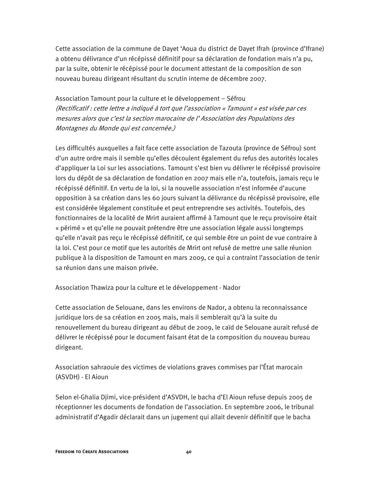Cette association de la commune de Dayet 'Aoua du district de Dayet Ifrah (province d'Ifrane) a obtenu délivrance d'un récépissé définitif pour sa déclaration de fondation mais n'a pu, par la suite, obtenir le récépissé pour le document attestant de la composition de son nouveau bureau dirigeant résultant du scrutin interne de décembre 2007.

Association Tamount pour la culture et le développement – Séfrou (Rectificatif : cette lettre a indiqué à tort que l'association « Tamount » est visée par ces mesures alors que c'est la section marocaine de l' Association des Populations des Montagnes du Monde qui est concernée.)

Les difficultés auxquelles a fait face cette association de Tazouta (province de Séfrou) sont d'un autre ordre mais il semble qu'elles découlent également du refus des autorités locales d'appliquer la Loi sur les associations. Tamount s'est bien vu délivrer le récépissé provisoire lors du dépôt de sa déclaration de fondation en 2007 mais elle n'a, toutefois, jamais reçu le récépissé définitif. En vertu de la loi, si la nouvelle association n'est informée d'aucune opposition à sa création dans les 60 jours suivant la délivrance du récépissé provisoire, elle est considérée légalement constituée et peut entreprendre ses activités. Toutefois, des fonctionnaires de la localité de Mrirt auraient affirmé à Tamount que le reçu provisoire était « périmé » et qu'elle ne pouvait prétendre être une association légale aussi longtemps qu'elle n'avait pas reçu le récépissé définitif, ce qui semble être un point de vue contraire à la loi. C'est pour ce motif que les autorités de Mrirt ont refusé de mettre une salle réunion publique à la disposition de Tamount en mars 2009, ce qui a contraint l'association de tenir sa réunion dans une maison privée.

Association Thawiza pour la culture et le développement - Nador

Cette association de Selouane, dans les environs de Nador, a obtenu la reconnaissance juridique lors de sa création en 2005 mais, mais il semblerait qu'à la suite du renouvellement du bureau dirigeant au début de 2009, le caïd de Selouane aurait refusé de délivrer le récépissé pour le document faisant état de la composition du nouveau bureau dirigeant.

Association sahraouie des victimes de violations graves commises par l'État marocain (ASVDH) - El Aioun

Selon el-Ghalia Djimi, vice-président d'ASVDH, le bacha d'El Aioun refuse depuis 2005 de réceptionner les documents de fondation de l'association. En septembre 2006, le tribunal administratif d'Agadir déclarait dans un jugement qui allait devenir définitif que le bacha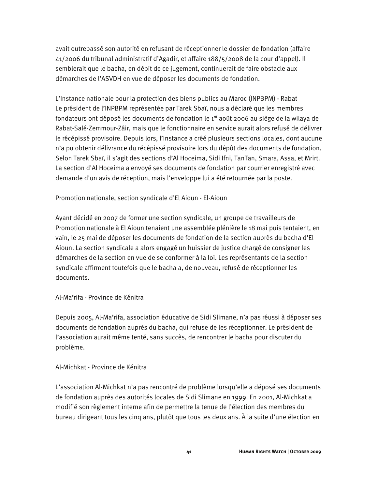avait outrepassé son autorité en refusant de réceptionner le dossier de fondation (affaire 41/2006 du tribunal administratif d'Agadir, et affaire 188/5/2008 de la cour d'appel). Il semblerait que le bacha, en dépit de ce jugement, continuerait de faire obstacle aux démarches de l'ASVDH en vue de déposer les documents de fondation.

L'Instance nationale pour la protection des biens publics au Maroc (INPBPM) - Rabat Le président de l'INPBPM représentée par Tarek Sbaï, nous a déclaré que les membres fondateurs ont déposé les documents de fondation le  $1<sup>er</sup>$  août 2006 au siège de la wilaya de Rabat-Salé-Zemmour-Zâir, mais que le fonctionnaire en service aurait alors refusé de délivrer le récépissé provisoire. Depuis lors, l'Instance a créé plusieurs sections locales, dont aucune n'a pu obtenir délivrance du récépissé provisoire lors du dépôt des documents de fondation. Selon Tarek Sbaï, il s'agit des sections d'Al Hoceima, Sidi Ifni, TanTan, Smara, Assa, et Mrirt. La section d'Al Hoceima a envoyé ses documents de fondation par courrier enregistré avec demande d'un avis de réception, mais l'enveloppe lui a été retournée par la poste.

Promotion nationale, section syndicale d'El Aioun - El-Aioun

Ayant décidé en 2007 de former une section syndicale, un groupe de travailleurs de Promotion nationale à El Aioun tenaient une assemblée plénière le 18 mai puis tentaient, en vain, le 25 mai de déposer les documents de fondation de la section auprès du bacha d'El Aioun. La section syndicale a alors engagé un huissier de justice chargé de consigner les démarches de la section en vue de se conformer à la loi. Les représentants de la section syndicale affirment toutefois que le bacha a, de nouveau, refusé de réceptionner les documents.

#### Al-Ma'rifa - Province de Kénitra

Depuis 2005, Al-Ma'rifa, association éducative de Sidi Slimane, n'a pas réussi à déposer ses documents de fondation auprès du bacha, qui refuse de les réceptionner. Le président de l'association aurait même tenté, sans succès, de rencontrer le bacha pour discuter du problème.

#### Al-Michkat - Province de Kénitra

L'association Al-Michkat n'a pas rencontré de problème lorsqu'elle a déposé ses documents de fondation auprès des autorités locales de Sidi Slimane en 1999. En 2001, Al-Michkat a modifié son règlement interne afin de permettre la tenue de l'élection des membres du bureau dirigeant tous les cinq ans, plutôt que tous les deux ans. À la suite d'une élection en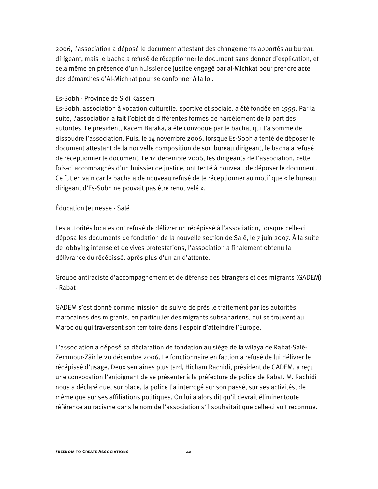2006, l'association a déposé le document attestant des changements apportés au bureau dirigeant, mais le bacha a refusé de réceptionner le document sans donner d'explication, et cela même en présence d'un huissier de justice engagé par al-Michkat pour prendre acte des démarches d'Al-Michkat pour se conformer à la loi.

#### Es-Sobh - Province de Sidi Kassem

Es-Sobh, association à vocation culturelle, sportive et sociale, a été fondée en 1999. Par la suite, l'association a fait l'objet de différentes formes de harcèlement de la part des autorités. Le président, Kacem Baraka, a été convoqué par le bacha, qui l'a sommé de dissoudre l'association. Puis, le 14 novembre 2006, lorsque Es-Sobh a tenté de déposer le document attestant de la nouvelle composition de son bureau dirigeant, le bacha a refusé de réceptionner le document. Le 14 décembre 2006, les dirigeants de l'association, cette fois-ci accompagnés d'un huissier de justice, ont tenté à nouveau de déposer le document. Ce fut en vain car le bacha a de nouveau refusé de le réceptionner au motif que « le bureau dirigeant d'Es-Sobh ne pouvait pas être renouvelé ».

#### Éducation Jeunesse - Salé

Les autorités locales ont refusé de délivrer un récépissé à l'association, lorsque celle-ci déposa les documents de fondation de la nouvelle section de Salé, le 7 juin 2007. À la suite de lobbying intense et de vives protestations, l'association a finalement obtenu la délivrance du récépissé, après plus d'un an d'attente.

Groupe antiraciste d'accompagnement et de défense des étrangers et des migrants (GADEM) - Rabat

GADEM s'est donné comme mission de suivre de près le traitement par les autorités marocaines des migrants, en particulier des migrants subsahariens, qui se trouvent au Maroc ou qui traversent son territoire dans l'espoir d'atteindre l'Europe.

L'association a déposé sa déclaration de fondation au siège de la wilaya de Rabat-Salé-Zemmour-Zâir le 20 décembre 2006. Le fonctionnaire en faction a refusé de lui délivrer le récépissé d'usage. Deux semaines plus tard, Hicham Rachidi, président de GADEM, a reçu une convocation l'enjoignant de se présenter à la préfecture de police de Rabat. M. Rachidi nous a déclaré que, sur place, la police l'a interrogé sur son passé, sur ses activités, de même que sur ses affiliations politiques. On lui a alors dit qu'il devrait éliminer toute référence au racisme dans le nom de l'association s'il souhaitait que celle-ci soit reconnue.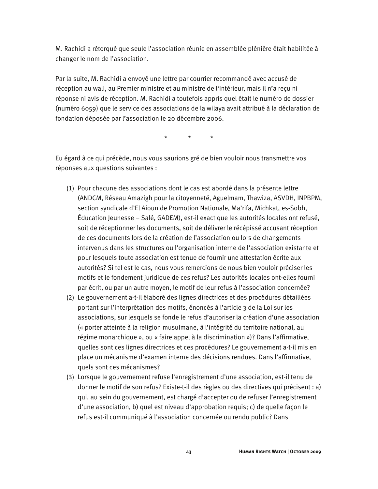M. Rachidi a rétorqué que seule l'association réunie en assemblée plénière était habilitée à changer le nom de l'association.

Par la suite, M. Rachidi a envoyé une lettre par courrier recommandé avec accusé de réception au wali, au Premier ministre et au ministre de l'Intérieur, mais il n'a reçu ni réponse ni avis de réception. M. Rachidi a toutefois appris quel était le numéro de dossier (numéro 6059) que le service des associations de la wilaya avait attribué à la déclaration de fondation déposée par l'association le 20 décembre 2006.

\* \* \*

Eu égard à ce qui précède, nous vous saurions gré de bien vouloir nous transmettre vos réponses aux questions suivantes :

- (1) Pour chacune des associations dont le cas est abordé dans la présente lettre (ANDCM, Réseau Amazigh pour la citoyenneté, Aguelmam, Thawiza, ASVDH, INPBPM, section syndicale d'El Aioun de Promotion Nationale, Ma'rifa, Michkat, es-Sobh, Éducation Jeunesse – Salé, GADEM), est-il exact que les autorités locales ont refusé, soit de réceptionner les documents, soit de délivrer le récépissé accusant réception de ces documents lors de la création de l'association ou lors de changements intervenus dans les structures ou l'organisation interne de l'association existante et pour lesquels toute association est tenue de fournir une attestation écrite aux autorités? Si tel est le cas, nous vous remercions de nous bien vouloir préciser les motifs et le fondement juridique de ces refus? Les autorités locales ont-elles fourni par écrit, ou par un autre moyen, le motif de leur refus à l'association concernée?
- (2) Le gouvernement a-t-il élaboré des lignes directrices et des procédures détaillées portant sur l'interprétation des motifs, énoncés à l'article 3 de la Loi sur les associations, sur lesquels se fonde le refus d'autoriser la création d'une association (« porter atteinte à la religion musulmane, à l'intégrité du territoire national, au régime monarchique », ou « faire appel à la discrimination »)? Dans l'affirmative, quelles sont ces lignes directrices et ces procédures? Le gouvernement a-t-il mis en place un mécanisme d'examen interne des décisions rendues. Dans l'affirmative, quels sont ces mécanismes?
- (3) Lorsque le gouvernement refuse l'enregistrement d'une association, est-il tenu de donner le motif de son refus? Existe-t-il des règles ou des directives qui précisent : a) qui, au sein du gouvernement, est chargé d'accepter ou de refuser l'enregistrement d'une association, b) quel est niveau d'approbation requis; c) de quelle façon le refus est-il communiqué à l'association concernée ou rendu public? Dans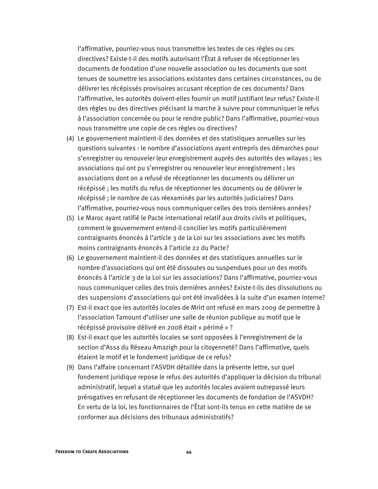l'affirmative, pourriez-vous nous transmettre les textes de ces règles ou ces directives? Existe-t-il des motifs autorisant l'État à refuser de réceptionner les documents de fondation d'une nouvelle association ou les documents que sont tenues de soumettre les associations existantes dans certaines circonstances, ou de délivrer les récépissés provisoires accusant réception de ces documents? Dans l'affirmative, les autorités doivent-elles fournir un motif justifiant leur refus? Existe-il des règles ou des directives précisant la marche à suivre pour communiquer le refus à l'association concernée ou pour le rendre public? Dans l'affirmative, pourriez-vous nous transmettre une copie de ces règles ou directives?

- (4) Le gouvernement maintient-il des données et des statistiques annuelles sur les questions suivantes : le nombre d'associations ayant entrepris des démarches pour s'enregistrer ou renouveler leur enregistrement auprès des autorités des wilayas ; les associations qui ont pu s'enregistrer ou renouveler leur enregistrement ; les associations dont on a refusé de réceptionner les documents ou délivrer un récépissé ; les motifs du refus de réceptionner les documents ou de délivrer le récépissé ; le nombre de cas réexaminés par les autorités judiciaires? Dans l'affirmative, pourriez-vous nous communiquer celles des trois dernières années?
- (5) Le Maroc ayant ratifié le Pacte international relatif aux droits civils et politiques, comment le gouvernement entend-il concilier les motifs particulièrement contraignants énoncés à l'article 3 de la Loi sur les associations avec les motifs moins contraignants énoncés à l'article 22 du Pacte?
- (6) Le gouvernement maintient-il des données et des statistiques annuelles sur le nombre d'associations qui ont été dissoutes ou suspendues pour un des motifs énoncés à l'article 3 de la Loi sur les associations? Dans l'affirmative, pourriez-vous nous communiquer celles des trois dernières années? Existe-t-ils des dissolutions ou des suspensions d'associations qui ont été invalidées à la suite d'un examen interne?
- (7) Est-il exact que les autorités locales de Mrirt ont refusé en mars 2009 de permettre à l'association Tamount d'utiliser une salle de réunion publique au motif que le récépissé provisoire délivré en 2008 était « périmé » ?
- (8) Est-il exact que les autorités locales se sont opposées à l'enregistrement de la section d'Assa du Réseau Amazigh pour la citoyenneté? Dans l'affirmative, quels étaient le motif et le fondement juridique de ce refus?
- (9) Dans l'affaire concernant l'ASVDH détaillée dans la présente lettre, sur quel fondement juridique repose le refus des autorités d'appliquer la décision du tribunal administratif, lequel a statué que les autorités locales avaient outrepassé leurs prérogatives en refusant de réceptionner les documents de fondation de l'ASVDH? En vertu de la loi, les fonctionnaires de l'État sont-ils tenus en cette matière de se conformer aux décisions des tribunaux administratifs?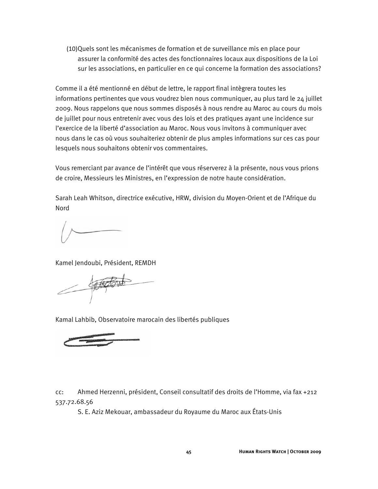(10)Quels sont les mécanismes de formation et de surveillance mis en place pour assurer la conformité des actes des fonctionnaires locaux aux dispositions de la Loi sur les associations, en particulier en ce qui concerne la formation des associations?

Comme il a été mentionné en début de lettre, le rapport final intègrera toutes les informations pertinentes que vous voudrez bien nous communiquer, au plus tard le 24 juillet 2009. Nous rappelons que nous sommes disposés à nous rendre au Maroc au cours du mois de juillet pour nous entretenir avec vous des lois et des pratiques ayant une incidence sur l'exercice de la liberté d'association au Maroc. Nous vous invitons à communiquer avec nous dans le cas où vous souhaiteriez obtenir de plus amples informations sur ces cas pour lesquels nous souhaitons obtenir vos commentaires.

Vous remerciant par avance de l'intérêt que vous réserverez à la présente, nous vous prions de croire, Messieurs les Ministres, en l'expression de notre haute considération.

Sarah Leah Whitson, directrice exécutive, HRW, division du Moyen-Orient et de l'Afrique du Nord

Kamel Jendoubi, Président, REMDH

 $\sqrt{\frac{4\pi}{3}}$ 

Kamal Lahbib, Observatoire marocain des libertés publiques

cc: Ahmed Herzenni, président, Conseil consultatif des droits de l'Homme, via fax +212 537.72.68.56

S. E. Aziz Mekouar, ambassadeur du Royaume du Maroc aux États-Unis